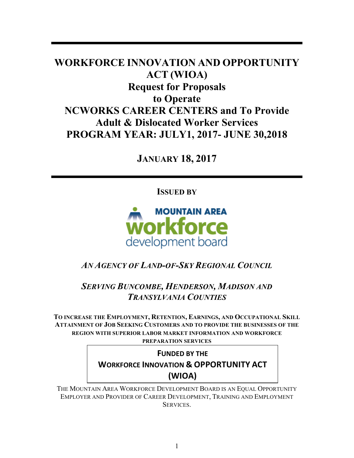# **WORKFORCE INNOVATION AND OPPORTUNITY ACT (WIOA) Request for Proposals to Operate NCWORKS CAREER CENTERS and To Provide Adult & Dislocated Worker Services PROGRAM YEAR: JULY1, 2017- JUNE 30,2018**

**JANUARY 18, 2017**

**ISSUED BY**



# *AN AGENCY OF LAND-OF-SKY REGIONAL COUNCIL*

*SERVING BUNCOMBE, HENDERSON, MADISON AND TRANSYLVANIA COUNTIES*

**TO INCREASE THE EMPLOYMENT, RETENTION, EARNINGS, AND OCCUPATIONAL SKILL ATTAINMENT OF JOB SEEKING CUSTOMERS AND TO PROVIDE THE BUSINESSES OF THE REGION WITH SUPERIOR LABOR MARKET INFORMATION AND WORKFORCE PREPARATION SERVICES**

# **FUNDED BY THE WORKFORCE INNOVATION & OPPORTUNITY ACT (WIOA)**

THE MOUNTAIN AREA WORKFORCE DEVELOPMENT BOARD IS AN EQUAL OPPORTUNITY EMPLOYER AND PROVIDER OF CAREER DEVELOPMENT, TRAINING AND EMPLOYMENT SERVICES.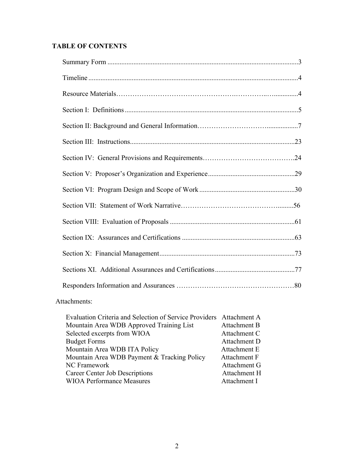# **TABLE OF CONTENTS**

# Attachments:

| Evaluation Criteria and Selection of Service Providers Attachment A |              |
|---------------------------------------------------------------------|--------------|
| Mountain Area WDB Approved Training List                            | Attachment B |
| Selected excerpts from WIOA                                         | Attachment C |
| <b>Budget Forms</b>                                                 | Attachment D |
| Mountain Area WDB ITA Policy                                        | Attachment E |
| Mountain Area WDB Payment & Tracking Policy                         | Attachment F |
| NC Framework                                                        | Attachment G |
| Career Center Job Descriptions                                      | Attachment H |
| <b>WIOA Performance Measures</b>                                    | Attachment I |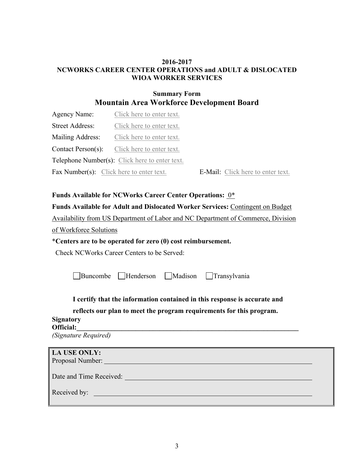### **2016-2017 NCWORKS CAREER CENTER OPERATIONS and ADULT & DISLOCATED WIOA WORKER SERVICES**

# **Summary Form Mountain Area Workforce Development Board**

| Agency Name:                                        | Click here to enter text.                      |                                   |
|-----------------------------------------------------|------------------------------------------------|-----------------------------------|
| <b>Street Address:</b>                              | Click here to enter text.                      |                                   |
| Mailing Address:<br>Click here to enter text.       |                                                |                                   |
| <b>Contact Person(s):</b> Click here to enter text. |                                                |                                   |
|                                                     | Telephone Number(s): Click here to enter text. |                                   |
| Fax Number(s): Click here to enter text.            |                                                | E-Mail: Click here to enter text. |

# **Funds Available for NCWorks Career Center Operations:** 0\*

# **Funds Available for Adult and Dislocated Worker Services:** Contingent on Budget

Availability from US Department of Labor and NC Department of Commerce, Division

of Workforce Solutions

# \***Centers are to be operated for zero (0) cost reimbursement.**

Check NCWorks Career Centers to be Served:

Buncombe Henderson Madison Transylvania

# **I certify that the information contained in this response is accurate and**

# **reflects our plan to meet the program requirements for this program.**

### **Signatory Official:\_\_\_\_\_\_\_\_\_\_\_\_\_\_\_\_\_\_\_\_\_\_\_\_\_\_\_\_\_\_\_\_\_\_\_\_\_\_\_\_\_\_\_\_\_\_\_\_\_\_\_\_\_\_\_\_\_\_\_\_\_\_\_\_**

*(Signature Required)*

| <b>LA USE ONLY:</b><br>Proposal Number: |  |  |
|-----------------------------------------|--|--|
| Date and Time Received:                 |  |  |
| Received by:                            |  |  |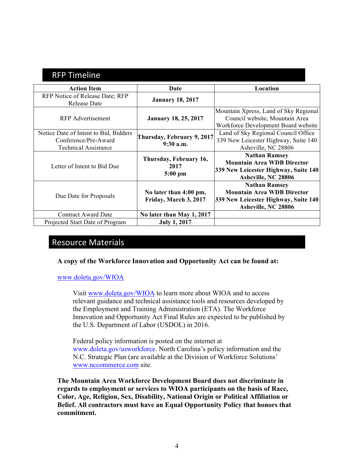# **RFP Timeline**

| <b>Action Item</b>                                                                           | Date                                            | Location                                                                                                                 |
|----------------------------------------------------------------------------------------------|-------------------------------------------------|--------------------------------------------------------------------------------------------------------------------------|
| RFP Notice of Release Date; RFP<br>Release Date                                              | <b>January 18, 2017</b>                         |                                                                                                                          |
| <b>RFP</b> Advertisement                                                                     | <b>January 18, 25, 2017</b>                     | Mountain Xpress, Land of Sky Regional<br>Council website, Mountain Area<br>Workforce Development Board website           |
| Notice Date of Intent to Bid, Bidders<br>Conference/Pre-Award<br><b>Technical Assistance</b> | Thursday, February 9, 2017<br>$9:30$ a.m.       | Land of Sky Regional Council Office<br>339 New Leicester Highway, Suite 140<br>Asheville, NC 28806                       |
| Letter of Intent to Bid Due                                                                  | Thursday, February 16,<br>2017<br>$5:00$ pm     | <b>Nathan Ramsey</b><br><b>Mountain Area WDB Director</b><br>339 New Leicester Highway, Suite 140<br>Asheville, NC 28806 |
| Due Date for Proposals                                                                       | No later than 4:00 pm,<br>Friday, March 3, 2017 | <b>Nathan Ramsey</b><br><b>Mountain Area WDB Director</b><br>339 New Leicester Highway, Suite 140<br>Asheville, NC 28806 |
| <b>Contract Award Date</b>                                                                   | No later than May 1, 2017                       |                                                                                                                          |
| Projected Start Date of Program                                                              | <b>July 1, 2017</b>                             |                                                                                                                          |

# Resource Materials

# **A copy of the Workforce Innovation and Opportunity Act can be found at:**

#### www.doleta.gov/WIOA

Visit www.doleta.gov/WIOA to learn more about WIOA and to access relevant guidance and technical assistance tools and resources developed by the Employment and Training Administration (ETA). The Workforce Innovation and Opportunity Act Final Rules are expected to be published by the U.S. Department of Labor (USDOL) in 2016.

Federal policy information is posted on the internet at www.doleta.gov/usworkforce. North Carolina's policy information and the N.C. Strategic Plan (are available at the Division of Workforce Solutions' www.nccommerce.com site.

**The Mountain Area Workforce Development Board does not discriminate in regards to employment or services to WIOA participants on the basis of Race, Color, Age, Religion, Sex, Disability, National Origin or Political Affiliation or Belief. All contractors must have an Equal Opportunity Policy that honors that commitment.**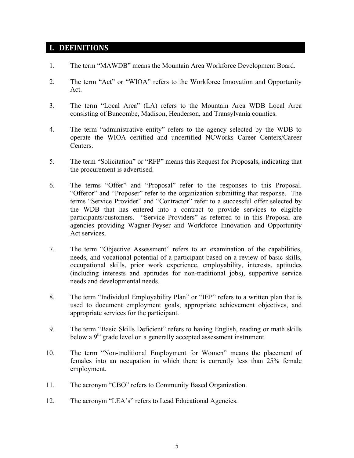# **I. DEFINITIONS**

- 1. The term "MAWDB" means the Mountain Area Workforce Development Board.
- 2. The term "Act" or "WIOA" refers to the Workforce Innovation and Opportunity Act.
- 3. The term "Local Area" (LA) refers to the Mountain Area WDB Local Area consisting of Buncombe, Madison, Henderson, and Transylvania counties.
- 4. The term "administrative entity" refers to the agency selected by the WDB to operate the WIOA certified and uncertified NCWorks Career Centers/Career Centers.
- 5. The term "Solicitation" or "RFP" means this Request for Proposals, indicating that the procurement is advertised.
- 6. The terms "Offer" and "Proposal" refer to the responses to this Proposal. "Offeror" and "Proposer" refer to the organization submitting that response. The terms "Service Provider" and "Contractor" refer to a successful offer selected by the WDB that has entered into a contract to provide services to eligible participants/customers. "Service Providers" as referred to in this Proposal are agencies providing Wagner-Peyser and Workforce Innovation and Opportunity Act services.
- 7. The term "Objective Assessment" refers to an examination of the capabilities, needs, and vocational potential of a participant based on a review of basic skills, occupational skills, prior work experience, employability, interests, aptitudes (including interests and aptitudes for non-traditional jobs), supportive service needs and developmental needs.
- 8. The term "Individual Employability Plan" or "IEP" refers to a written plan that is used to document employment goals, appropriate achievement objectives, and appropriate services for the participant.
- 9. The term "Basic Skills Deficient" refers to having English, reading or math skills below a  $9<sup>th</sup>$  grade level on a generally accepted assessment instrument.
- 10. The term "Non-traditional Employment for Women" means the placement of females into an occupation in which there is currently less than 25% female employment.
- 11. The acronym "CBO" refers to Community Based Organization.
- 12. The acronym "LEA's" refers to Lead Educational Agencies.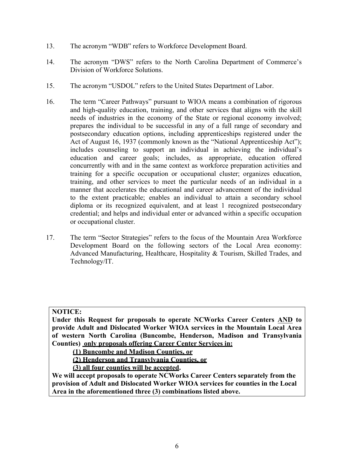- 13. The acronym "WDB" refers to Workforce Development Board.
- 14. The acronym "DWS" refers to the North Carolina Department of Commerce's Division of Workforce Solutions.
- 15. The acronym "USDOL" refers to the United States Department of Labor.
- 16. The term "Career Pathways" pursuant to WIOA means a combination of rigorous and high-quality education, training, and other services that aligns with the skill needs of industries in the economy of the State or regional economy involved; prepares the individual to be successful in any of a full range of secondary and postsecondary education options, including apprenticeships registered under the Act of August 16, 1937 (commonly known as the "National Apprenticeship Act"); includes counseling to support an individual in achieving the individual's education and career goals; includes, as appropriate, education offered concurrently with and in the same context as workforce preparation activities and training for a specific occupation or occupational cluster; organizes education, training, and other services to meet the particular needs of an individual in a manner that accelerates the educational and career advancement of the individual to the extent practicable; enables an individual to attain a secondary school diploma or its recognized equivalent, and at least 1 recognized postsecondary credential; and helps and individual enter or advanced within a specific occupation or occupational cluster.
- 17. The term "Sector Strategies" refers to the focus of the Mountain Area Workforce Development Board on the following sectors of the Local Area economy: Advanced Manufacturing, Healthcare, Hospitality & Tourism, Skilled Trades, and Technology/IT.

#### **NOTICE:**

**Under this Request for proposals to operate NCWorks Career Centers AND to provide Adult and Dislocated Worker WIOA services in the Mountain Local Area of western North Carolina (Buncombe, Henderson, Madison and Transylvania Counties) only proposals offering Career Center Services in:**

**(1) Buncombe and Madison Counties, or** 

**(2) Henderson and Transylvania Counties, or**

**(3) all four counties will be accepted.** 

**We will accept proposals to operate NCWorks Career Centers separately from the provision of Adult and Dislocated Worker WIOA services for counties in the Local Area in the aforementioned three (3) combinations listed above.**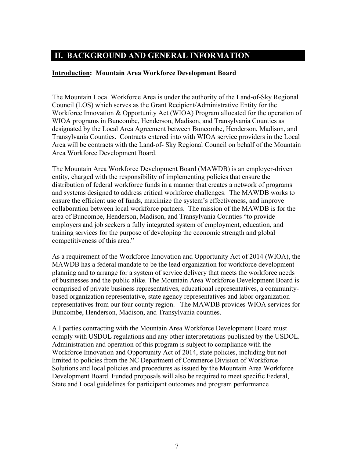# **II. BACKGROUND AND GENERAL INFORMATION**

### **Introduction: Mountain Area Workforce Development Board**

The Mountain Local Workforce Area is under the authority of the Land-of-Sky Regional Council (LOS) which serves as the Grant Recipient/Administrative Entity for the Workforce Innovation & Opportunity Act (WIOA) Program allocated for the operation of WIOA programs in Buncombe, Henderson, Madison, and Transylvania Counties as designated by the Local Area Agreement between Buncombe, Henderson, Madison, and Transylvania Counties. Contracts entered into with WIOA service providers in the Local Area will be contracts with the Land-of- Sky Regional Council on behalf of the Mountain Area Workforce Development Board.

The Mountain Area Workforce Development Board (MAWDB) is an employer-driven entity, charged with the responsibility of implementing policies that ensure the distribution of federal workforce funds in a manner that creates a network of programs and systems designed to address critical workforce challenges. The MAWDB works to ensure the efficient use of funds, maximize the system's effectiveness, and improve collaboration between local workforce partners. The mission of the MAWDB is for the area of Buncombe, Henderson, Madison, and Transylvania Counties "to provide employers and job seekers a fully integrated system of employment, education, and training services for the purpose of developing the economic strength and global competitiveness of this area."

As a requirement of the Workforce Innovation and Opportunity Act of 2014 (WIOA), the MAWDB has a federal mandate to be the lead organization for workforce development planning and to arrange for a system of service delivery that meets the workforce needs of businesses and the public alike. The Mountain Area Workforce Development Board is comprised of private business representatives, educational representatives, a communitybased organization representative, state agency representatives and labor organization representatives from our four county region. The MAWDB provides WIOA services for Buncombe, Henderson, Madison, and Transylvania counties.

All parties contracting with the Mountain Area Workforce Development Board must comply with USDOL regulations and any other interpretations published by the USDOL. Administration and operation of this program is subject to compliance with the Workforce Innovation and Opportunity Act of 2014, state policies, including but not limited to policies from the NC Department of Commerce Division of Workforce Solutions and local policies and procedures as issued by the Mountain Area Workforce Development Board. Funded proposals will also be required to meet specific Federal, State and Local guidelines for participant outcomes and program performance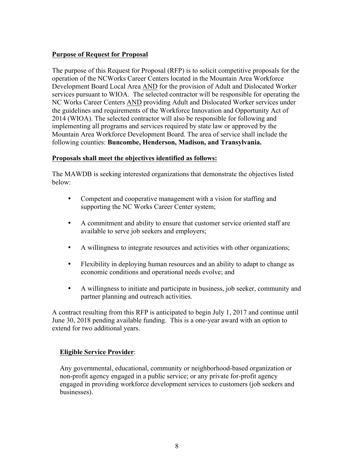# **Purpose of Request for Proposal**

The purpose of this Request for Proposal (RFP) is to solicit competitive proposals for the operation of the NCWorks Career Centers located in the Mountain Area Workforce Development Board Local Area AND for the provision of Adult and Dislocated Worker services pursuant to WIOA. The selected contractor will be responsible for operating the NC Works Career Centers AND providing Adult and Dislocated Worker services under the guidelines and requirements of the Workforce Innovation and Opportunity Act of 2014 (WIOA). The selected contractor will also be responsible for following and implementing all programs and services required by state law or approved by the Mountain Area Workforce Development Board. The area of service shall include the following counties: **Buncombe, Henderson, Madison, and Transylvania.**

### **Proposals shall meet the objectives identified as follows:**

The MAWDB is seeking interested organizations that demonstrate the objectives listed below:

- Competent and cooperative management with a vision for staffing and supporting the NC Works Career Center system;
- A commitment and ability to ensure that customer service oriented staff are available to serve job seekers and employers;
- A willingness to integrate resources and activities with other organizations;
- Flexibility in deploying human resources and an ability to adapt to change as economic conditions and operational needs evolve; and
- A willingness to initiate and participate in business, job seeker, community and partner planning and outreach activities.

A contract resulting from this RFP is anticipated to begin July 1, 2017 and continue until June 30, 2018 pending available funding. This is a one-year award with an option to extend for two additional years.

#### **Eligible Service Provider**:

Any governmental, educational, community or neighborhood-based organization or non-profit agency engaged in a public service; or any private for-profit agency engaged in providing workforce development services to customers (job seekers and businesses).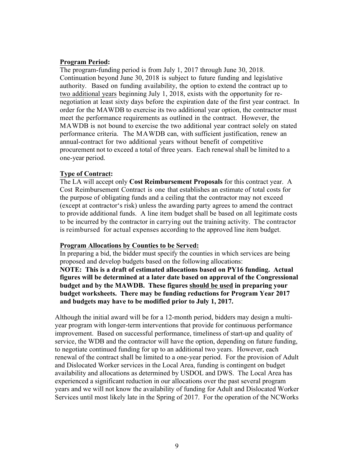#### **Program Period:**

The program-funding period is from July 1, 2017 through June 30, 2018. Continuation beyond June 30, 2018 is subject to future funding and legislative authority. Based on funding availability, the option to extend the contract up to two additional years beginning July 1, 2018, exists with the opportunity for renegotiation at least sixty days before the expiration date of the first year contract. In order for the MAWDB to exercise its two additional year option, the contractor must meet the performance requirements as outlined in the contract. However, the MAWDB is not bound to exercise the two additional year contract solely on stated performance criteria. The MAWDB can, with sufficient justification, renew an annual-contract for two additional years without benefit of competitive procurement not to exceed a total of three years. Each renewal shall be limited to a one-year period.

#### **Type of Contract:**

The LA will accept only **Cost Reimbursement Proposals** for this contract year. A Cost Reimbursement Contract is one that establishes an estimate of total costs for the purpose of obligating funds and a ceiling that the contractor may not exceed (except at contractor's risk) unless the awarding party agrees to amend the contract to provide additional funds. A line item budget shall be based on all legitimate costs to be incurred by the contractor in carrying out the training activity. The contractor is reimbursed for actual expenses according to the approved line item budget.

#### **Program Allocations by Counties to be Served:**

In preparing a bid, the bidder must specify the counties in which services are being proposed and develop budgets based on the following allocations:

**NOTE: This is a draft of estimated allocations based on PY16 funding. Actual figures will be determined at a later date based on approval of the Congressional budget and by the MAWDB. These figures should be used in preparing your budget worksheets. There may be funding reductions for Program Year 2017 and budgets may have to be modified prior to July 1, 2017.**

Although the initial award will be for a 12-month period, bidders may design a multiyear program with longer-term interventions that provide for continuous performance improvement. Based on successful performance, timeliness of start-up and quality of service, the WDB and the contractor will have the option, depending on future funding, to negotiate continued funding for up to an additional two years. However, each renewal of the contract shall be limited to a one-year period. For the provision of Adult and Dislocated Worker services in the Local Area, funding is contingent on budget availability and allocations as determined by USDOL and DWS. The Local Area has experienced a significant reduction in our allocations over the past several program years and we will not know the availability of funding for Adult and Dislocated Worker Services until most likely late in the Spring of 2017. For the operation of the NCWorks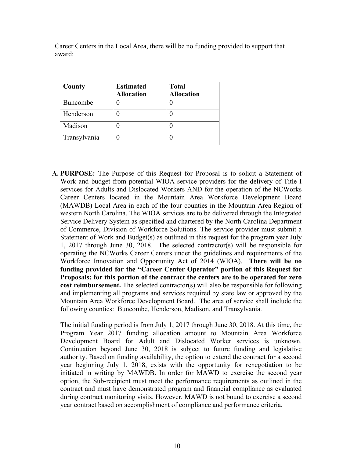Career Centers in the Local Area, there will be no funding provided to support that award:

| County       | <b>Estimated</b>  | <b>Total</b>      |
|--------------|-------------------|-------------------|
|              | <b>Allocation</b> | <b>Allocation</b> |
| Buncombe     |                   |                   |
| Henderson    |                   |                   |
| Madison      |                   |                   |
| Transylvania |                   |                   |

**A. PURPOSE:** The Purpose of this Request for Proposal is to solicit a Statement of Work and budget from potential WIOA service providers for the delivery of Title I services for Adults and Dislocated Workers AND for the operation of the NCWorks Career Centers located in the Mountain Area Workforce Development Board (MAWDB) Local Area in each of the four counties in the Mountain Area Region of western North Carolina. The WIOA services are to be delivered through the Integrated Service Delivery System as specified and chartered by the North Carolina Department of Commerce, Division of Workforce Solutions. The service provider must submit a Statement of Work and Budget(s) as outlined in this request for the program year July 1, 2017 through June 30, 2018. The selected contractor(s) will be responsible for operating the NCWorks Career Centers under the guidelines and requirements of the Workforce Innovation and Opportunity Act of 2014 (WIOA). **There will be no funding provided for the "Career Center Operator" portion of this Request for Proposals; for this portion of the contract the centers are to be operated for zero cost reimbursement.** The selected contractor(s) will also be responsible for following and implementing all programs and services required by state law or approved by the Mountain Area Workforce Development Board. The area of service shall include the following counties: Buncombe, Henderson, Madison, and Transylvania.

The initial funding period is from July 1, 2017 through June 30, 2018. At this time, the Program Year 2017 funding allocation amount to Mountain Area Workforce Development Board for Adult and Dislocated Worker services is unknown. Continuation beyond June 30, 2018 is subject to future funding and legislative authority. Based on funding availability, the option to extend the contract for a second year beginning July 1, 2018, exists with the opportunity for renegotiation to be initiated in writing by MAWDB. In order for MAWD to exercise the second year option, the Sub-recipient must meet the performance requirements as outlined in the contract and must have demonstrated program and financial compliance as evaluated during contract monitoring visits. However, MAWD is not bound to exercise a second year contract based on accomplishment of compliance and performance criteria.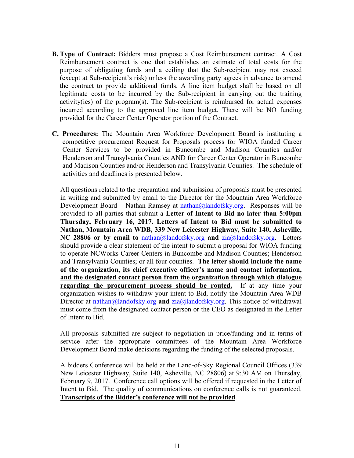- **B. Type of Contract:** Bidders must propose a Cost Reimbursement contract. A Cost Reimbursement contract is one that establishes an estimate of total costs for the purpose of obligating funds and a ceiling that the Sub-recipient may not exceed (except at Sub-recipient's risk) unless the awarding party agrees in advance to amend the contract to provide additional funds. A line item budget shall be based on all legitimate costs to be incurred by the Sub-recipient in carrying out the training activity(ies) of the program(s). The Sub-recipient is reimbursed for actual expenses incurred according to the approved line item budget. There will be NO funding provided for the Career Center Operator portion of the Contract.
- **C. Procedures:** The Mountain Area Workforce Development Board is instituting a competitive procurement Request for Proposals process for WIOA funded Career Center Services to be provided in Buncombe and Madison Counties and/or Henderson and Transylvania Counties AND for Career Center Operator in Buncombe and Madison Counties and/or Henderson and Transylvania Counties. The schedule of activities and deadlines is presented below.

All questions related to the preparation and submission of proposals must be presented in writing and submitted by email to the Director for the Mountain Area Workforce Development Board – Nathan Ramsey at nathan@landofsky.org. Responses will be provided to all parties that submit a **Letter of Intent to Bid no later than 5:00pm Thursday, February 16, 2017. Letters of Intent to Bid must be submitted to Nathan, Mountain Area WDB, 339 New Leicester Highway, Suite 140, Asheville, NC 28806 or by email to** nathan@landofsky.org **and** zia@landofsky.org. Letters should provide a clear statement of the intent to submit a proposal for WIOA funding to operate NCWorks Career Centers in Buncombe and Madison Counties; Henderson and Transylvania Counties; or all four counties. **The letter should include the name of the organization, its chief executive officer's name and contact information, and the designated contact person from the organization through which dialogue regarding the procurement process should be routed.** If at any time your organization wishes to withdraw your intent to Bid, notify the Mountain Area WDB Director at nathan@landofsky.org and zia@landofsky.org. This notice of withdrawal must come from the designated contact person or the CEO as designated in the Letter of Intent to Bid.

All proposals submitted are subject to negotiation in price/funding and in terms of service after the appropriate committees of the Mountain Area Workforce Development Board make decisions regarding the funding of the selected proposals.

A bidders Conference will be held at the Land-of-Sky Regional Council Offices (339 New Leicester Highway, Suite 140, Asheville, NC 28806) at 9:30 AM on Thursday, February 9, 2017. Conference call options will be offered if requested in the Letter of Intent to Bid. The quality of communications on conference calls is not guaranteed. **Transcripts of the Bidder's conference will not be provided**.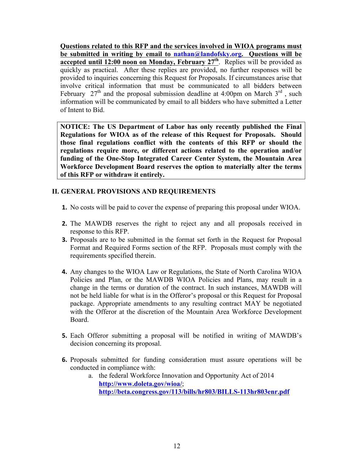**Questions related to this RFP and the services involved in WIOA programs must be submitted in writing by email to nathan@landofsky.org. Questions will be accepted until 12:00 noon on Monday, February 27<sup>th</sup>. Replies will be provided as** quickly as practical. After these replies are provided, no further responses will be provided to inquiries concerning this Request for Proposals. If circumstances arise that involve critical information that must be communicated to all bidders between February  $27<sup>th</sup>$  and the proposal submission deadline at 4:00pm on March  $3<sup>rd</sup>$ , such information will be communicated by email to all bidders who have submitted a Letter of Intent to Bid.

**NOTICE: The US Department of Labor has only recently published the Final Regulations for WIOA as of the release of this Request for Proposals. Should those final regulations conflict with the contents of this RFP or should the regulations require more, or different actions related to the operation and/or funding of the One-Stop Integrated Career Center System, the Mountain Area Workforce Development Board reserves the option to materially alter the terms of this RFP or withdraw it entirely.** 

### **II. GENERAL PROVISIONS AND REQUIREMENTS**

- **1.** No costs will be paid to cover the expense of preparing this proposal under WIOA.
- **2.** The MAWDB reserves the right to reject any and all proposals received in response to this RFP.
- **3.** Proposals are to be submitted in the format set forth in the Request for Proposal Format and Required Forms section of the RFP. Proposals must comply with the requirements specified therein.
- **4.** Any changes to the WIOA Law or Regulations, the State of North Carolina WIOA Policies and Plan, or the MAWDB WIOA Policies and Plans, may result in a change in the terms or duration of the contract. In such instances, MAWDB will not be held liable for what is in the Offeror's proposal or this Request for Proposal package. Appropriate amendments to any resulting contract MAY be negotiated with the Offeror at the discretion of the Mountain Area Workforce Development Board.
- **5.** Each Offeror submitting a proposal will be notified in writing of MAWDB's decision concerning its proposal.
- **6.** Proposals submitted for funding consideration must assure operations will be conducted in compliance with:
	- a. the federal Workforce Innovation and Opportunity Act of 2014 **http://www.doleta.gov/wioa/**; **http://beta.congress.gov/113/bills/hr803/BILLS-113hr803enr.pdf**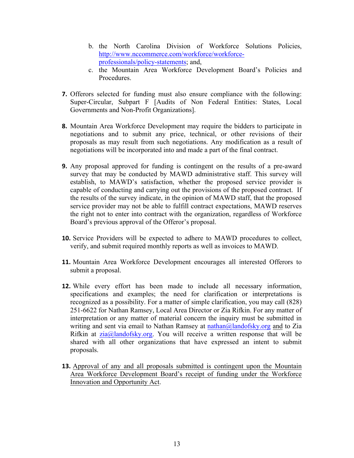- b. the North Carolina Division of Workforce Solutions Policies, http://www.nccommerce.com/workforce/workforceprofessionals/policy-statements; and,
- c. the Mountain Area Workforce Development Board's Policies and **Procedures**
- **7.** Offerors selected for funding must also ensure compliance with the following: Super-Circular, Subpart F [Audits of Non Federal Entities: States, Local Governments and Non-Profit Organizations].
- **8.** Mountain Area Workforce Development may require the bidders to participate in negotiations and to submit any price, technical, or other revisions of their proposals as may result from such negotiations. Any modification as a result of negotiations will be incorporated into and made a part of the final contract.
- **9.** Any proposal approved for funding is contingent on the results of a pre-award survey that may be conducted by MAWD administrative staff. This survey will establish, to MAWD's satisfaction, whether the proposed service provider is capable of conducting and carrying out the provisions of the proposed contract. If the results of the survey indicate, in the opinion of MAWD staff, that the proposed service provider may not be able to fulfill contract expectations, MAWD reserves the right not to enter into contract with the organization, regardless of Workforce Board's previous approval of the Offeror's proposal.
- **10.** Service Providers will be expected to adhere to MAWD procedures to collect, verify, and submit required monthly reports as well as invoices to MAWD.
- **11.** Mountain Area Workforce Development encourages all interested Offerors to submit a proposal.
- **12.** While every effort has been made to include all necessary information, specifications and examples; the need for clarification or interpretations is recognized as a possibility. For a matter of simple clarification, you may call (828) 251-6622 for Nathan Ramsey, Local Area Director or Zia Rifkin. For any matter of interpretation or any matter of material concern the inquiry must be submitted in writing and sent via email to Nathan Ramsey at  $\text{nahan}(\partial \Omega)$  and  $\partial \Omega$  and to Zia Rifkin at  $zia@$ landofsky.org. You will receive a written response that will be shared with all other organizations that have expressed an intent to submit proposals.
- **13.** Approval of any and all proposals submitted is contingent upon the Mountain Area Workforce Development Board's receipt of funding under the Workforce Innovation and Opportunity Act.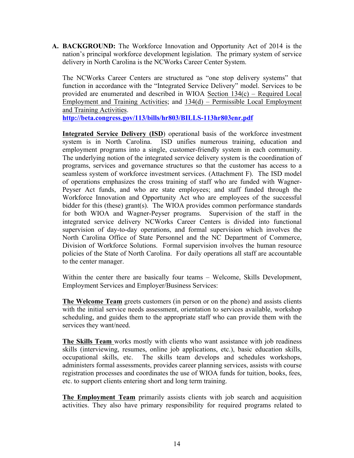**A. BACKGROUND:** The Workforce Innovation and Opportunity Act of 2014 is the nation's principal workforce development legislation. The primary system of service delivery in North Carolina is the NCWorks Career Center System.

The NCWorks Career Centers are structured as "one stop delivery systems" that function in accordance with the "Integrated Service Delivery" model. Services to be provided are enumerated and described in WIOA Section 134(c) – Required Local Employment and Training Activities; and 134(d) – Permissible Local Employment and Training Activities.

**http://beta.congress.gov/113/bills/hr803/BILLS-113hr803enr.pdf** 

**Integrated Service Delivery (ISD**) operational basis of the workforce investment system is in North Carolina. ISD unifies numerous training, education and employment programs into a single, customer-friendly system in each community. The underlying notion of the integrated service delivery system is the coordination of programs, services and governance structures so that the customer has access to a seamless system of workforce investment services. (Attachment F). The ISD model of operations emphasizes the cross training of staff who are funded with Wagner-Peyser Act funds, and who are state employees; and staff funded through the Workforce Innovation and Opportunity Act who are employees of the successful bidder for this (these) grant(s). The WIOA provides common performance standards for both WIOA and Wagner-Peyser programs. Supervision of the staff in the integrated service delivery NCWorks Career Centers is divided into functional supervision of day-to-day operations, and formal supervision which involves the North Carolina Office of State Personnel and the NC Department of Commerce, Division of Workforce Solutions. Formal supervision involves the human resource policies of the State of North Carolina. For daily operations all staff are accountable to the center manager.

Within the center there are basically four teams – Welcome, Skills Development, Employment Services and Employer/Business Services:

**The Welcome Team** greets customers (in person or on the phone) and assists clients with the initial service needs assessment, orientation to services available, workshop scheduling, and guides them to the appropriate staff who can provide them with the services they want/need.

**The Skills Team** works mostly with clients who want assistance with job readiness skills (interviewing, resumes, online job applications, etc.), basic education skills, occupational skills, etc. The skills team develops and schedules workshops, administers formal assessments, provides career planning services, assists with course registration processes and coordinates the use of WIOA funds for tuition, books, fees, etc. to support clients entering short and long term training.

**The Employment Team** primarily assists clients with job search and acquisition activities. They also have primary responsibility for required programs related to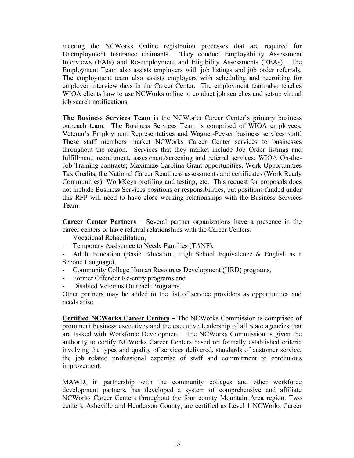meeting the NCWorks Online registration processes that are required for Unemployment Insurance claimants. They conduct Employability Assessment Interviews (EAIs) and Re-employment and Eligibility Assessments (REAs). The Employment Team also assists employers with job listings and job order referrals. The employment team also assists employers with scheduling and recruiting for employer interview days in the Career Center. The employment team also teaches WIOA clients how to use NCWorks online to conduct job searches and set-up virtual job search notifications.

**The Business Services Team** is the NCWorks Career Center's primary business outreach team. The Business Services Team is comprised of WIOA employees, Veteran's Employment Representatives and Wagner-Peyser business services staff. These staff members market NCWorks Career Center services to businesses throughout the region. Services that they market include Job Order listings and fulfillment; recruitment, assessment/screening and referral services; WIOA On-the-Job Training contracts; Maximize Carolina Grant opportunities; Work Opportunities Tax Credits, the National Career Readiness assessments and certificates (Work Ready Communities); WorkKeys profiling and testing, etc. This request for proposals does not include Business Services positions or responsibilities, but positions funded under this RFP will need to have close working relationships with the Business Services Team.

**Career Center Partners** – Several partner organizations have a presence in the career centers or have referral relationships with the Career Centers:

- Vocational Rehabilitation,
- Temporary Assistance to Needy Families (TANF),
- Adult Education (Basic Education, High School Equivalence & English as a Second Language),
- Community College Human Resources Development (HRD) programs,
- Former Offender Re-entry programs and
- Disabled Veterans Outreach Programs.

Other partners may be added to the list of service providers as opportunities and needs arise.

**Certified NCWorks Career Centers –** The NCWorks Commission is comprised of prominent business executives and the executive leadership of all State agencies that are tasked with Workforce Development. The NCWorks Commission is given the authority to certify NCWorks Career Centers based on formally established criteria involving the types and quality of services delivered, standards of customer service, the job related professional expertise of staff and commitment to continuous improvement.

MAWD, in partnership with the community colleges and other workforce development partners, has developed a system of comprehensive and affiliate NCWorks Career Centers throughout the four county Mountain Area region. Two centers, Asheville and Henderson County, are certified as Level 1 NCWorks Career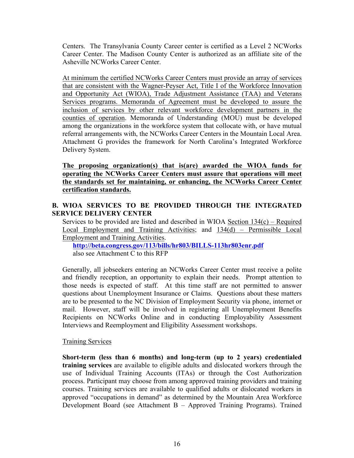Centers. The Transylvania County Career center is certified as a Level 2 NCWorks Career Center. The Madison County Center is authorized as an affiliate site of the Asheville NCWorks Career Center.

At minimum the certified NCWorks Career Centers must provide an array of services that are consistent with the Wagner-Peyser Act, Title I of the Workforce Innovation and Opportunity Act (WIOA), Trade Adjustment Assistance (TAA) and Veterans Services programs. Memoranda of Agreement must be developed to assure the inclusion of services by other relevant workforce development partners in the counties of operation. Memoranda of Understanding (MOU) must be developed among the organizations in the workforce system that collocate with, or have mutual referral arrangements with, the NCWorks Career Centers in the Mountain Local Area. Attachment G provides the framework for North Carolina's Integrated Workforce Delivery System.

**The proposing organization(s) that is(are) awarded the WIOA funds for operating the NCWorks Career Centers must assure that operations will meet the standards set for maintaining, or enhancing, the NCWorks Career Center certification standards.** 

# **B. WIOA SERVICES TO BE PROVIDED THROUGH THE INTEGRATED SERVICE DELIVERY CENTER**

Services to be provided are listed and described in WIOA Section 134(c) – Required Local Employment and Training Activities; and 134(d) – Permissible Local Employment and Training Activities.

**http://beta.congress.gov/113/bills/hr803/BILLS-113hr803enr.pdf**  also see Attachment C to this RFP

Generally, all jobseekers entering an NCWorks Career Center must receive a polite and friendly reception, an opportunity to explain their needs. Prompt attention to those needs is expected of staff. At this time staff are not permitted to answer questions about Unemployment Insurance or Claims. Questions about these matters are to be presented to the NC Division of Employment Security via phone, internet or mail. However, staff will be involved in registering all Unemployment Benefits Recipients on NCWorks Online and in conducting Employability Assessment Interviews and Reemployment and Eligibility Assessment workshops.

#### Training Services

**Short-term (less than 6 months) and long-term (up to 2 years) credentialed training services** are available to eligible adults and dislocated workers through the use of Individual Training Accounts (ITAs) or through the Cost Authorization process. Participant may choose from among approved training providers and training courses. Training services are available to qualified adults or dislocated workers in approved "occupations in demand" as determined by the Mountain Area Workforce Development Board (see Attachment B – Approved Training Programs). Trained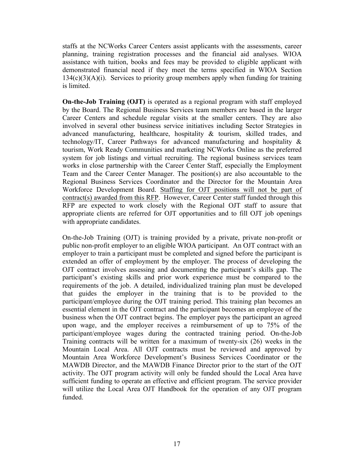staffs at the NCWorks Career Centers assist applicants with the assessments, career planning, training registration processes and the financial aid analyses. WIOA assistance with tuition, books and fees may be provided to eligible applicant with demonstrated financial need if they meet the terms specified in WIOA Section  $134(c)(3)(A)(i)$ . Services to priority group members apply when funding for training is limited.

**On-the-Job Training (OJT)** is operated as a regional program with staff employed by the Board. The Regional Business Services team members are based in the larger Career Centers and schedule regular visits at the smaller centers. They are also involved in several other business service initiatives including Sector Strategies in advanced manufacturing, healthcare, hospitality & tourism, skilled trades, and technology/IT, Career Pathways for advanced manufacturing and hospitality & tourism, Work Ready Communities and marketing NCWorks Online as the preferred system for job listings and virtual recruiting. The regional business services team works in close partnership with the Career Center Staff, especially the Employment Team and the Career Center Manager. The position(s) are also accountable to the Regional Business Services Coordinator and the Director for the Mountain Area Workforce Development Board. Staffing for OJT positions will not be part of contract(s) awarded from this RFP. However, Career Center staff funded through this RFP are expected to work closely with the Regional OJT staff to assure that appropriate clients are referred for OJT opportunities and to fill OJT job openings with appropriate candidates.

On-the-Job Training (OJT) is training provided by a private, private non-profit or public non-profit employer to an eligible WIOA participant. An OJT contract with an employer to train a participant must be completed and signed before the participant is extended an offer of employment by the employer. The process of developing the OJT contract involves assessing and documenting the participant's skills gap. The participant's existing skills and prior work experience must be compared to the requirements of the job. A detailed, individualized training plan must be developed that guides the employer in the training that is to be provided to the participant/employee during the OJT training period. This training plan becomes an essential element in the OJT contract and the participant becomes an employee of the business when the OJT contract begins. The employer pays the participant an agreed upon wage, and the employer receives a reimbursement of up to 75% of the participant/employee wages during the contracted training period. On-the-Job Training contracts will be written for a maximum of twenty-six (26) weeks in the Mountain Local Area. All OJT contracts must be reviewed and approved by Mountain Area Workforce Development's Business Services Coordinator or the MAWDB Director, and the MAWDB Finance Director prior to the start of the OJT activity. The OJT program activity will only be funded should the Local Area have sufficient funding to operate an effective and efficient program. The service provider will utilize the Local Area OJT Handbook for the operation of any OJT program funded.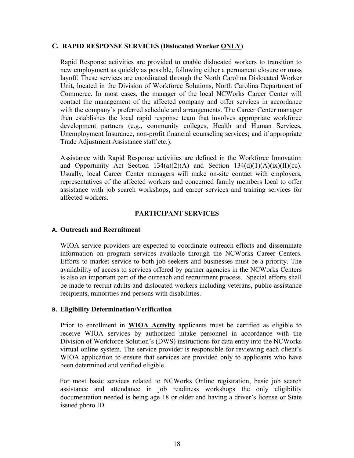#### **C. RAPID RESPONSE SERVICES (Dislocated Worker ONLY)**

Rapid Response activities are provided to enable dislocated workers to transition to new employment as quickly as possible, following either a permanent closure or mass layoff. These services are coordinated through the North Carolina Dislocated Worker Unit, located in the Division of Workforce Solutions, North Carolina Department of Commerce. In most cases, the manager of the local NCWorks Career Center will contact the management of the affected company and offer services in accordance with the company's preferred schedule and arrangements. The Career Center manager then establishes the local rapid response team that involves appropriate workforce development partners (e.g., community colleges, Health and Human Services, Unemployment Insurance, non-profit financial counseling services; and if appropriate Trade Adjustment Assistance staff etc.).

Assistance with Rapid Response activities are defined in the Workforce Innovation and Opportunity Act Section  $134(a)(2)(A)$  and Section  $134(d)(1)(A)(ix)(II)(cc)$ . Usually, local Career Center managers will make on-site contact with employers, representatives of the affected workers and concerned family members local to offer assistance with job search workshops, and career services and training services for affected workers.

### **PARTICIPANT SERVICES**

#### **A. Outreach and Recruitment**

WIOA service providers are expected to coordinate outreach efforts and disseminate information on program services available through the NCWorks Career Centers. Efforts to market service to both job seekers and businesses must be a priority. The availability of access to services offered by partner agencies in the NCWorks Centers is also an important part of the outreach and recruitment process. Special efforts shall be made to recruit adults and dislocated workers including veterans, public assistance recipients, minorities and persons with disabilities.

#### **B. Eligibility Determination/Verification**

Prior to enrollment in **WIOA Activity** applicants must be certified as eligible to receive WIOA services by authorized intake personnel in accordance with the Division of Workforce Solution's (DWS) instructions for data entry into the NCWorks virtual online system. The service provider is responsible for reviewing each client's WIOA application to ensure that services are provided only to applicants who have been determined and verified eligible.

For most basic services related to NCWorks Online registration, basic job search assistance and attendance in job readiness workshops the only eligibility documentation needed is being age 18 or older and having a driver's license or State issued photo ID.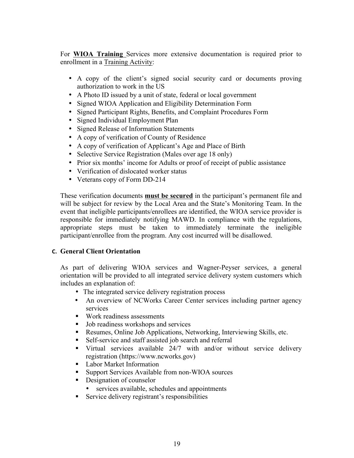For **WIOA Training** Services more extensive documentation is required prior to enrollment in a Training Activity:

- A copy of the client's signed social security card or documents proving authorization to work in the US
- A Photo ID issued by a unit of state, federal or local government
- Signed WIOA Application and Eligibility Determination Form
- Signed Participant Rights, Benefits, and Complaint Procedures Form
- Signed Individual Employment Plan
- Signed Release of Information Statements
- A copy of verification of County of Residence
- A copy of verification of Applicant's Age and Place of Birth
- Selective Service Registration (Males over age 18 only)
- Prior six months' income for Adults or proof of receipt of public assistance
- Verification of dislocated worker status
- Veterans copy of Form DD-214

These verification documents **must be secured** in the participant's permanent file and will be subject for review by the Local Area and the State's Monitoring Team. In the event that ineligible participants/enrollees are identified, the WIOA service provider is responsible for immediately notifying MAWD. In compliance with the regulations, appropriate steps must be taken to immediately terminate the ineligible participant/enrollee from the program. Any cost incurred will be disallowed.

# **C. General Client Orientation**

As part of delivering WIOA services and Wagner-Peyser services, a general orientation will be provided to all integrated service delivery system customers which includes an explanation of:

- The integrated service delivery registration process
- An overview of NCWorks Career Center services including partner agency services
- Work readiness assessments
- Job readiness workshops and services
- Resumes, Online Job Applications, Networking, Interviewing Skills, etc.
- Self-service and staff assisted job search and referral
- § Virtual services available 24/7 with and/or without service delivery registration (https://www.ncworks.gov)
- Labor Market Information
- § Support Services Available from non-WIOA sources
- Designation of counselor
	- services available, schedules and appointments
- Service delivery registrant's responsibilities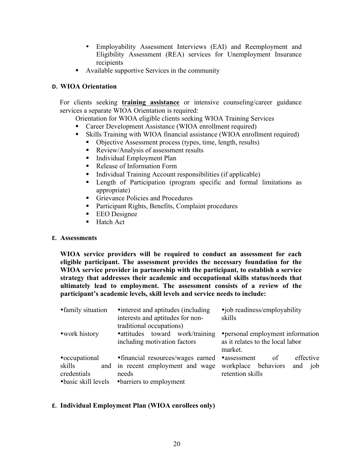- Employability Assessment Interviews (EAI) and Reemployment and Eligibility Assessment (REA) services for Unemployment Insurance recipients
- Available supportive Services in the community

#### **D. WIOA Orientation**

For clients seeking **training assistance** or intensive counseling/career guidance services a separate WIOA Orientation is required:

Orientation for WIOA eligible clients seeking WIOA Training Services

- Career Development Assistance (WIOA enrollment required)
- Skills Training with WIOA financial assistance (WIOA enrollment required)
	- § Objective Assessment process (types, time, length, results)
	- Review/Analysis of assessment results
	- Individual Employment Plan
	- Release of Information Form
	- § Individual Training Account responsibilities (if applicable)
	- § Length of Participation (program specific and formal limitations as appropriate)
	- Grievance Policies and Procedures
	- Participant Rights, Benefits, Complaint procedures
	- EEO Designee
	- Hatch Act

#### **E. Assessments**

**WIOA service providers will be required to conduct an assessment for each eligible participant. The assessment provides the necessary foundation for the WIOA service provider in partnership with the participant, to establish a service strategy that addresses their academic and occupational skills status/needs that ultimately lead to employment. The assessment consists of a review of the participant's academic levels, skill levels and service needs to include:**

| • family situation    | • interest and aptitudes (including)<br>interests and aptitudes for non-                    | •job readiness/employability<br>skills             |
|-----------------------|---------------------------------------------------------------------------------------------|----------------------------------------------------|
| • work history        | traditional occupations)<br>• attitudes toward work/training                                | • personal employment information                  |
|                       | including motivation factors                                                                | as it relates to the local labor<br>market.        |
| • occupational        | • financial resources/wages earned                                                          | effective<br>•assessment<br><sub>of</sub>          |
| skills<br>credentials | and in recent employment and wage<br>needs<br>• basic skill levels • barriers to employment | workplace behaviors<br>and job<br>retention skills |

#### **E. Individual Employment Plan (WIOA enrollees only)**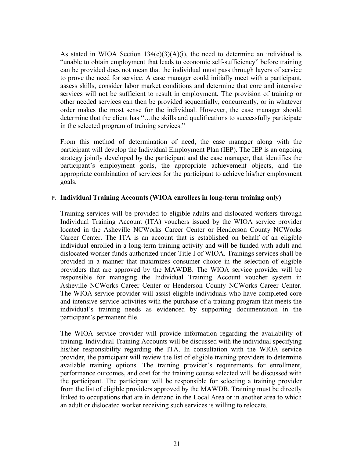As stated in WIOA Section  $134(c)(3)(A)(i)$ , the need to determine an individual is "unable to obtain employment that leads to economic self-sufficiency" before training can be provided does not mean that the individual must pass through layers of service to prove the need for service. A case manager could initially meet with a participant, assess skills, consider labor market conditions and determine that core and intensive services will not be sufficient to result in employment. The provision of training or other needed services can then be provided sequentially, concurrently, or in whatever order makes the most sense for the individual. However, the case manager should determine that the client has "…the skills and qualifications to successfully participate in the selected program of training services."

From this method of determination of need, the case manager along with the participant will develop the Individual Employment Plan (IEP). The IEP is an ongoing strategy jointly developed by the participant and the case manager, that identifies the participant's employment goals, the appropriate achievement objects, and the appropriate combination of services for the participant to achieve his/her employment goals.

#### **F. Individual Training Accounts (WIOA enrollees in long-term training only)**

Training services will be provided to eligible adults and dislocated workers through Individual Training Account (ITA) vouchers issued by the WIOA service provider located in the Asheville NCWorks Career Center or Henderson County NCWorks Career Center. The ITA is an account that is established on behalf of an eligible individual enrolled in a long-term training activity and will be funded with adult and dislocated worker funds authorized under Title I of WIOA. Trainings services shall be provided in a manner that maximizes consumer choice in the selection of eligible providers that are approved by the MAWDB. The WIOA service provider will be responsible for managing the Individual Training Account voucher system in Asheville NCWorks Career Center or Henderson County NCWorks Career Center. The WIOA service provider will assist eligible individuals who have completed core and intensive service activities with the purchase of a training program that meets the individual's training needs as evidenced by supporting documentation in the participant's permanent file.

The WIOA service provider will provide information regarding the availability of training. Individual Training Accounts will be discussed with the individual specifying his/her responsibility regarding the ITA. In consultation with the WIOA service provider, the participant will review the list of eligible training providers to determine available training options. The training provider's requirements for enrollment, performance outcomes, and cost for the training course selected will be discussed with the participant. The participant will be responsible for selecting a training provider from the list of eligible providers approved by the MAWDB. Training must be directly linked to occupations that are in demand in the Local Area or in another area to which an adult or dislocated worker receiving such services is willing to relocate.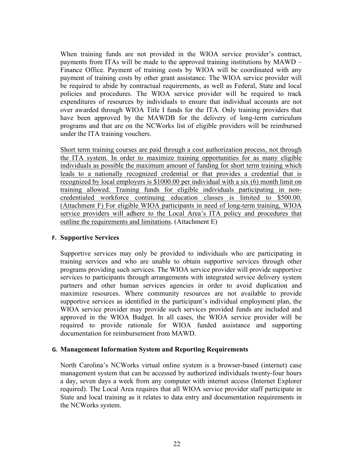When training funds are not provided in the WIOA service provider's contract, payments from ITAs will be made to the approved training institutions by MAWD – Finance Office. Payment of training costs by WIOA will be coordinated with any payment of training costs by other grant assistance. The WIOA service provider will be required to abide by contractual requirements, as well as Federal, State and local policies and procedures. The WIOA service provider will be required to track expenditures of resources by individuals to ensure that individual accounts are not over awarded through WIOA Title I funds for the ITA. Only training providers that have been approved by the MAWDB for the delivery of long-term curriculum programs and that are on the NCWorks list of eligible providers will be reimbursed under the ITA training vouchers.

Short term training courses are paid through a cost authorization process, not through the ITA system. In order to maximize training opportunities for as many eligible individuals as possible the maximum amount of funding for short term training which leads to a nationally recognized credential or that provides a credential that is recognized by local employers is \$1000.00 per individual with a six (6) month limit on training allowed. Training funds for eligible individuals participating in noncredentialed workforce continuing education classes is limited to \$500.00. (Attachment F) For eligible WIOA participants in need of long-term training, WIOA service providers will adhere to the Local Area's ITA policy and procedures that outline the requirements and limitations. (Attachment E)

#### **F. Supportive Services**

Supportive services may only be provided to individuals who are participating in training services and who are unable to obtain supportive services through other programs providing such services. The WIOA service provider will provide supportive services to participants through arrangements with integrated service delivery system partners and other human services agencies in order to avoid duplication and maximize resources. Where community resources are not available to provide supportive services as identified in the participant's individual employment plan, the WIOA service provider may provide such services provided funds are included and approved in the WIOA Budget. In all cases, the WIOA service provider will be required to provide rationale for WIOA funded assistance and supporting documentation for reimbursement from MAWD.

#### **G. Management Information System and Reporting Requirements**

North Carolina's NCWorks virtual online system is a browser-based (internet) case management system that can be accessed by authorized individuals twenty-four hours a day, seven days a week from any computer with internet access (Internet Explorer required). The Local Area requires that all WIOA service provider staff participate in State and local training as it relates to data entry and documentation requirements in the NCWorks system.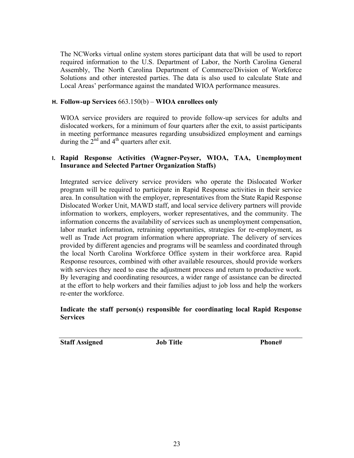The NCWorks virtual online system stores participant data that will be used to report required information to the U.S. Department of Labor, the North Carolina General Assembly, The North Carolina Department of Commerce/Division of Workforce Solutions and other interested parties. The data is also used to calculate State and Local Areas' performance against the mandated WIOA performance measures.

#### **H. Follow-up Services** 663.150(b) – **WIOA enrollees only**

WIOA service providers are required to provide follow-up services for adults and dislocated workers, for a minimum of four quarters after the exit, to assist participants in meeting performance measures regarding unsubsidized employment and earnings during the  $2<sup>nd</sup>$  and  $4<sup>th</sup>$  quarters after exit.

### **I. Rapid Response Activities (Wagner-Peyser, WIOA, TAA, Unemployment Insurance and Selected Partner Organization Staffs)**

Integrated service delivery service providers who operate the Dislocated Worker program will be required to participate in Rapid Response activities in their service area. In consultation with the employer, representatives from the State Rapid Response Dislocated Worker Unit, MAWD staff, and local service delivery partners will provide information to workers, employers, worker representatives, and the community. The information concerns the availability of services such as unemployment compensation, labor market information, retraining opportunities, strategies for re-employment, as well as Trade Act program information where appropriate. The delivery of services provided by different agencies and programs will be seamless and coordinated through the local North Carolina Workforce Office system in their workforce area. Rapid Response resources, combined with other available resources, should provide workers with services they need to ease the adjustment process and return to productive work. By leveraging and coordinating resources, a wider range of assistance can be directed at the effort to help workers and their families adjust to job loss and help the workers re-enter the workforce.

#### **Indicate the staff person(s) responsible for coordinating local Rapid Response Services**

**Staff Assigned Job Title Phone#**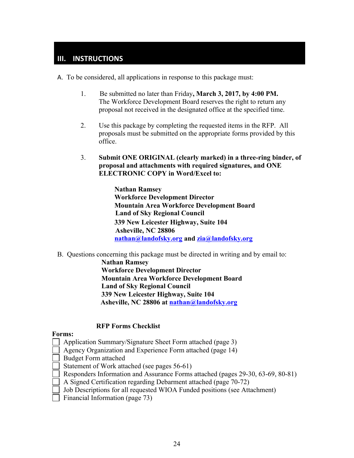# **III. INSTRUCTIONS**

A. To be considered, all applications in response to this package must:

- 1. Be submitted no later than Friday**, March 3, 2017, by 4:00 PM.** The Workforce Development Board reserves the right to return any proposal not received in the designated office at the specified time.
- 2. Use this package by completing the requested items in the RFP. All proposals must be submitted on the appropriate forms provided by this office.
- 3. **Submit ONE ORIGINAL (clearly marked) in a three-ring binder, of proposal and attachments with required signatures, and ONE ELECTRONIC COPY in Word/Excel to:**

**Nathan Ramsey Workforce Development Director Mountain Area Workforce Development Board Land of Sky Regional Council 339 New Leicester Highway, Suite 104 Asheville, NC 28806 nathan@landofsky.org and zia@landofsky.org**

B. Questions concerning this package must be directed in writing and by email to:

**Nathan Ramsey Workforce Development Director Mountain Area Workforce Development Board Land of Sky Regional Council 339 New Leicester Highway, Suite 104 Asheville, NC 28806 at nathan@landofsky.org**

#### **RFP Forms Checklist**

#### **Forms:**

- Application Summary/Signature Sheet Form attached (page 3)
- Agency Organization and Experience Form attached (page 14)
- Budget Form attached
- Statement of Work attached (see pages 56-61)
- Responders Information and Assurance Forms attached (pages 29-30, 63-69, 80-81)
- A Signed Certification regarding Debarment attached (page 70-72)
- Job Descriptions for all requested WIOA Funded positions (see Attachment)
- Financial Information (page 73)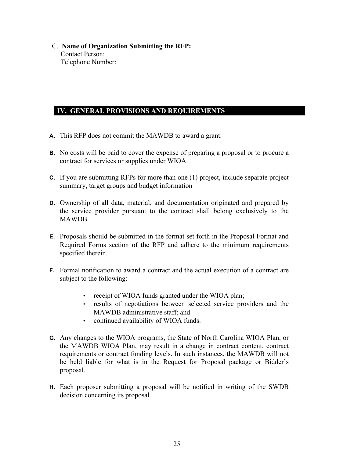C. **Name of Organization Submitting the RFP:** Contact Person: Telephone Number:

# **IV. GENERAL PROVISIONS AND REQUIREMENTS**

- **A.** This RFP does not commit the MAWDB to award a grant.
- **B.** No costs will be paid to cover the expense of preparing a proposal or to procure a contract for services or supplies under WIOA.
- **C.** If you are submitting RFPs for more than one (1) project, include separate project summary, target groups and budget information
- **D.** Ownership of all data, material, and documentation originated and prepared by the service provider pursuant to the contract shall belong exclusively to the MAWDB.
- **E.** Proposals should be submitted in the format set forth in the Proposal Format and Required Forms section of the RFP and adhere to the minimum requirements specified therein.
- **F.** Formal notification to award a contract and the actual execution of a contract are subject to the following:
	- receipt of WIOA funds granted under the WIOA plan;
	- results of negotiations between selected service providers and the MAWDB administrative staff; and
	- continued availability of WIOA funds.
- **G.** Any changes to the WIOA programs, the State of North Carolina WIOA Plan, or the MAWDB WIOA Plan, may result in a change in contract content, contract requirements or contract funding levels. In such instances, the MAWDB will not be held liable for what is in the Request for Proposal package or Bidder's proposal.
- **H.** Each proposer submitting a proposal will be notified in writing of the SWDB decision concerning its proposal.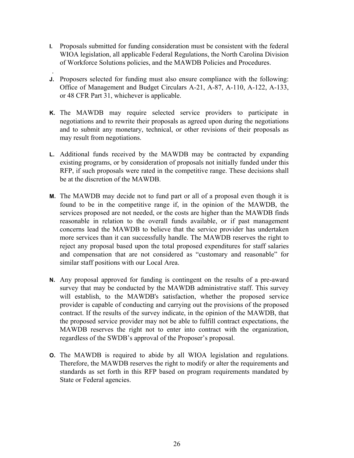- **I.** Proposals submitted for funding consideration must be consistent with the federal WIOA legislation, all applicable Federal Regulations, the North Carolina Division of Workforce Solutions policies, and the MAWDB Policies and Procedures.
- . **J.** Proposers selected for funding must also ensure compliance with the following: Office of Management and Budget Circulars A-21, A-87, A-110, A-122, A-133, or 48 CFR Part 31, whichever is applicable.
- **K.** The MAWDB may require selected service providers to participate in negotiations and to rewrite their proposals as agreed upon during the negotiations and to submit any monetary, technical, or other revisions of their proposals as may result from negotiations.
- **L.** Additional funds received by the MAWDB may be contracted by expanding existing programs, or by consideration of proposals not initially funded under this RFP, if such proposals were rated in the competitive range. These decisions shall be at the discretion of the MAWDB.
- **M.** The MAWDB may decide not to fund part or all of a proposal even though it is found to be in the competitive range if, in the opinion of the MAWDB, the services proposed are not needed, or the costs are higher than the MAWDB finds reasonable in relation to the overall funds available, or if past management concerns lead the MAWDB to believe that the service provider has undertaken more services than it can successfully handle. The MAWDB reserves the right to reject any proposal based upon the total proposed expenditures for staff salaries and compensation that are not considered as "customary and reasonable" for similar staff positions with our Local Area.
- **N.** Any proposal approved for funding is contingent on the results of a pre-award survey that may be conducted by the MAWDB administrative staff. This survey will establish, to the MAWDB's satisfaction, whether the proposed service provider is capable of conducting and carrying out the provisions of the proposed contract. If the results of the survey indicate, in the opinion of the MAWDB, that the proposed service provider may not be able to fulfill contract expectations, the MAWDB reserves the right not to enter into contract with the organization, regardless of the SWDB's approval of the Proposer's proposal.
- **O.** The MAWDB is required to abide by all WIOA legislation and regulations. Therefore, the MAWDB reserves the right to modify or alter the requirements and standards as set forth in this RFP based on program requirements mandated by State or Federal agencies.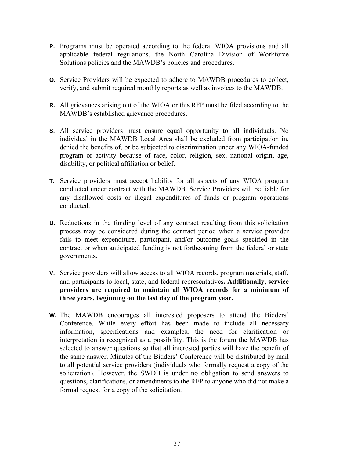- **P.** Programs must be operated according to the federal WIOA provisions and all applicable federal regulations, the North Carolina Division of Workforce Solutions policies and the MAWDB's policies and procedures.
- **Q.** Service Providers will be expected to adhere to MAWDB procedures to collect, verify, and submit required monthly reports as well as invoices to the MAWDB.
- **R.** All grievances arising out of the WIOA or this RFP must be filed according to the MAWDB's established grievance procedures.
- **S.** All service providers must ensure equal opportunity to all individuals. No individual in the MAWDB Local Area shall be excluded from participation in, denied the benefits of, or be subjected to discrimination under any WIOA-funded program or activity because of race, color, religion, sex, national origin, age, disability, or political affiliation or belief.
- **T.** Service providers must accept liability for all aspects of any WIOA program conducted under contract with the MAWDB. Service Providers will be liable for any disallowed costs or illegal expenditures of funds or program operations conducted.
- **U.** Reductions in the funding level of any contract resulting from this solicitation process may be considered during the contract period when a service provider fails to meet expenditure, participant, and/or outcome goals specified in the contract or when anticipated funding is not forthcoming from the federal or state governments.
- **V.** Service providers will allow access to all WIOA records, program materials, staff, and participants to local, state, and federal representatives**. Additionally, service providers are required to maintain all WIOA records for a minimum of three years, beginning on the last day of the program year.**
- **W.** The MAWDB encourages all interested proposers to attend the Bidders' Conference. While every effort has been made to include all necessary information, specifications and examples, the need for clarification or interpretation is recognized as a possibility. This is the forum the MAWDB has selected to answer questions so that all interested parties will have the benefit of the same answer. Minutes of the Bidders' Conference will be distributed by mail to all potential service providers (individuals who formally request a copy of the solicitation). However, the SWDB is under no obligation to send answers to questions, clarifications, or amendments to the RFP to anyone who did not make a formal request for a copy of the solicitation.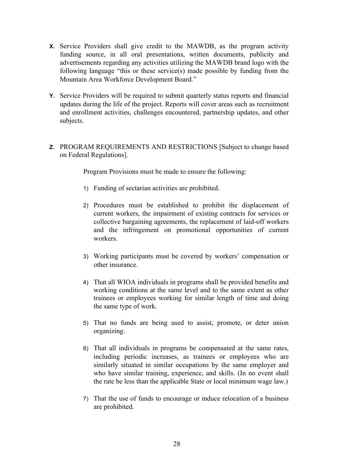- **X.** Service Providers shall give credit to the MAWDB, as the program activity funding source, in all oral presentations, written documents, publicity and advertisements regarding any activities utilizing the MAWDB brand logo with the following language "this or these service(s) made possible by funding from the Mountain Area Workforce Development Board."
- **Y.** Service Providers will be required to submit quarterly status reports and financial updates during the life of the project. Reports will cover areas such as recruitment and enrollment activities, challenges encountered, partnership updates, and other subjects.
- **Z.** PROGRAM REQUIREMENTS AND RESTRICTIONS [Subject to change based on Federal Regulations].

Program Provisions must be made to ensure the following:

- 1) Funding of sectarian activities are prohibited.
- 2) Procedures must be established to prohibit the displacement of current workers, the impairment of existing contracts for services or collective bargaining agreements, the replacement of laid-off workers and the infringement on promotional opportunities of current workers.
- 3) Working participants must be covered by workers' compensation or other insurance.
- 4) That all WIOA individuals in programs shall be provided benefits and working conditions at the same level and to the same extent as other trainees or employees working for similar length of time and doing the same type of work.
- 5) That no funds are being used to assist, promote, or deter union organizing.
- 6) That all individuals in programs be compensated at the same rates, including periodic increases, as trainees or employees who are similarly situated in similar occupations by the same employer and who have similar training, experience, and skills. (In no event shall the rate be less than the applicable State or local minimum wage law.)
- 7) That the use of funds to encourage or induce relocation of a business are prohibited.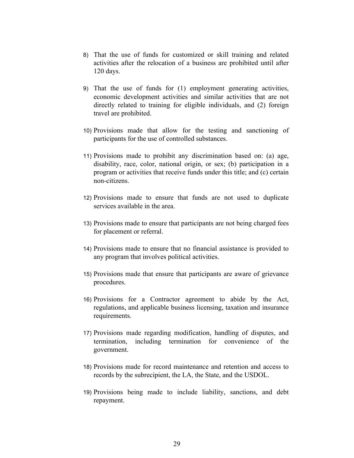- 8) That the use of funds for customized or skill training and related activities after the relocation of a business are prohibited until after 120 days.
- 9) That the use of funds for (1) employment generating activities, economic development activities and similar activities that are not directly related to training for eligible individuals, and (2) foreign travel are prohibited.
- 10) Provisions made that allow for the testing and sanctioning of participants for the use of controlled substances.
- 11) Provisions made to prohibit any discrimination based on: (a) age, disability, race, color, national origin, or sex; (b) participation in a program or activities that receive funds under this title; and (c) certain non-citizens.
- 12) Provisions made to ensure that funds are not used to duplicate services available in the area.
- 13) Provisions made to ensure that participants are not being charged fees for placement or referral.
- 14) Provisions made to ensure that no financial assistance is provided to any program that involves political activities.
- 15) Provisions made that ensure that participants are aware of grievance procedures.
- 16) Provisions for a Contractor agreement to abide by the Act, regulations, and applicable business licensing, taxation and insurance requirements.
- 17) Provisions made regarding modification, handling of disputes, and termination, including termination for convenience of the government.
- 18) Provisions made for record maintenance and retention and access to records by the subrecipient, the LA, the State, and the USDOL.
- 19) Provisions being made to include liability, sanctions, and debt repayment.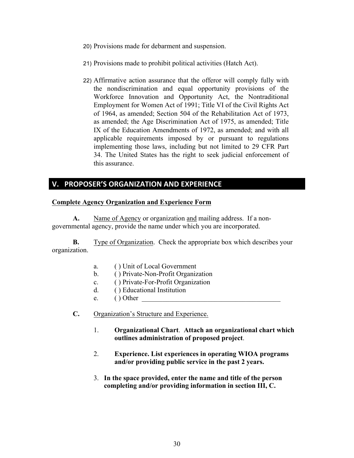- 20) Provisions made for debarment and suspension.
- 21) Provisions made to prohibit political activities (Hatch Act).
- 22) Affirmative action assurance that the offeror will comply fully with the nondiscrimination and equal opportunity provisions of the Workforce Innovation and Opportunity Act, the Nontraditional Employment for Women Act of 1991; Title VI of the Civil Rights Act of 1964, as amended; Section 504 of the Rehabilitation Act of 1973, as amended; the Age Discrimination Act of 1975, as amended; Title IX of the Education Amendments of 1972, as amended; and with all applicable requirements imposed by or pursuant to regulations implementing those laws, including but not limited to 29 CFR Part 34. The United States has the right to seek judicial enforcement of this assurance.

# **V. PROPOSER'S ORGANIZATION AND EXPERIENCE**

### **Complete Agency Organization and Experience Form**

**A.** Name of Agency or organization and mailing address. If a nongovernmental agency, provide the name under which you are incorporated.

**B.** Type of Organization. Check the appropriate box which describes your organization.

- a. ( ) Unit of Local Government
- b. ( ) Private-Non-Profit Organization
- c. ( ) Private-For-Profit Organization
- d. ( ) Educational Institution
- e.  $()$  Other
- **C.** Organization's Structure and Experience.
	- 1. **Organizational Chart**. **Attach an organizational chart which outlines administration of proposed project**.
	- 2. **Experience. List experiences in operating WIOA programs and/or providing public service in the past 2 years.**
	- 3. **In the space provided, enter the name and title of the person completing and/or providing information in section III, C.**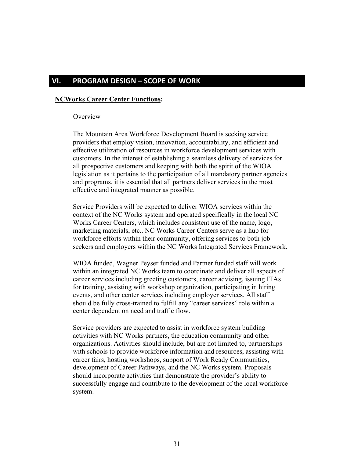# **VI. PROGRAM DESIGN - SCOPE OF WORK**

#### **NCWorks Career Center Functions:**

#### **Overview**

The Mountain Area Workforce Development Board is seeking service providers that employ vision, innovation, accountability, and efficient and effective utilization of resources in workforce development services with customers. In the interest of establishing a seamless delivery of services for all prospective customers and keeping with both the spirit of the WIOA legislation as it pertains to the participation of all mandatory partner agencies and programs, it is essential that all partners deliver services in the most effective and integrated manner as possible.

Service Providers will be expected to deliver WIOA services within the context of the NC Works system and operated specifically in the local NC Works Career Centers, which includes consistent use of the name, logo, marketing materials, etc.. NC Works Career Centers serve as a hub for workforce efforts within their community, offering services to both job seekers and employers within the NC Works Integrated Services Framework.

WIOA funded, Wagner Peyser funded and Partner funded staff will work within an integrated NC Works team to coordinate and deliver all aspects of career services including greeting customers, career advising, issuing ITAs for training, assisting with workshop organization, participating in hiring events, and other center services including employer services. All staff should be fully cross-trained to fulfill any "career services" role within a center dependent on need and traffic flow.

Service providers are expected to assist in workforce system building activities with NC Works partners, the education community and other organizations. Activities should include, but are not limited to, partnerships with schools to provide workforce information and resources, assisting with career fairs, hosting workshops, support of Work Ready Communities, development of Career Pathways, and the NC Works system. Proposals should incorporate activities that demonstrate the provider's ability to successfully engage and contribute to the development of the local workforce system.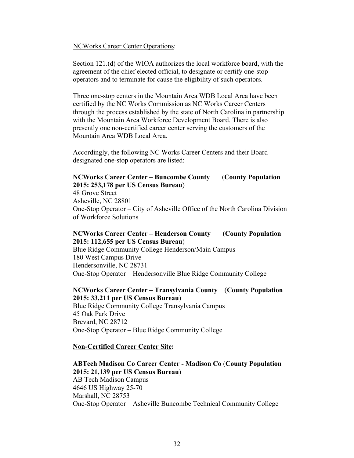#### NCWorks Career Center Operations:

Section 121.(d) of the WIOA authorizes the local workforce board, with the agreement of the chief elected official, to designate or certify one-stop operators and to terminate for cause the eligibility of such operators.

Three one-stop centers in the Mountain Area WDB Local Area have been certified by the NC Works Commission as NC Works Career Centers through the process established by the state of North Carolina in partnership with the Mountain Area Workforce Development Board. There is also presently one non-certified career center serving the customers of the Mountain Area WDB Local Area.

Accordingly, the following NC Works Career Centers and their Boarddesignated one-stop operators are listed:

# **NCWorks Career Center – Buncombe County** (**County Population 2015: 253,178 per US Census Bureau**)

48 Grove Street Asheville, NC 28801 One-Stop Operator – City of Asheville Office of the North Carolina Division of Workforce Solutions

#### **NCWorks Career Center – Henderson County** (**County Population 2015: 112,655 per US Census Bureau**)

Blue Ridge Community College Henderson/Main Campus 180 West Campus Drive Hendersonville, NC 28731 One-Stop Operator – Hendersonville Blue Ridge Community College

#### **NCWorks Career Center – Transylvania County** (**County Population 2015: 33,211 per US Census Bureau**)

Blue Ridge Community College Transylvania Campus 45 Oak Park Drive Brevard, NC 28712 One-Stop Operator – Blue Ridge Community College

#### **Non-Certified Career Center Site:**

### **ABTech Madison Co Career Center - Madison Co** (**County Population 2015: 21,139 per US Census Bureau**) AB Tech Madison Campus 4646 US Highway 25-70 Marshall, NC 28753 One-Stop Operator – Asheville Buncombe Technical Community College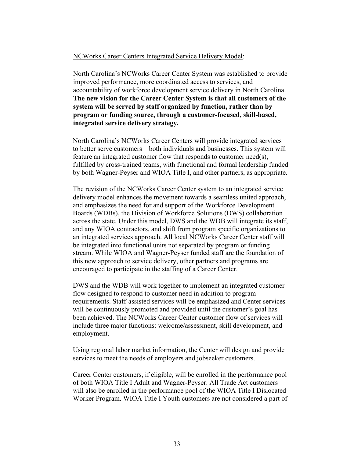#### NCWorks Career Centers Integrated Service Delivery Model:

North Carolina's NCWorks Career Center System was established to provide improved performance, more coordinated access to services, and accountability of workforce development service delivery in North Carolina. **The new vision for the Career Center System is that all customers of the system will be served by staff organized by function, rather than by program or funding source, through a customer-focused, skill-based, integrated service delivery strategy.** 

North Carolina's NCWorks Career Centers will provide integrated services to better serve customers – both individuals and businesses. This system will feature an integrated customer flow that responds to customer need(s), fulfilled by cross-trained teams, with functional and formal leadership funded by both Wagner-Peyser and WIOA Title I, and other partners, as appropriate.

The revision of the NCWorks Career Center system to an integrated service delivery model enhances the movement towards a seamless united approach, and emphasizes the need for and support of the Workforce Development Boards (WDBs), the Division of Workforce Solutions (DWS) collaboration across the state. Under this model, DWS and the WDB will integrate its staff, and any WIOA contractors, and shift from program specific organizations to an integrated services approach. All local NCWorks Career Center staff will be integrated into functional units not separated by program or funding stream. While WIOA and Wagner-Peyser funded staff are the foundation of this new approach to service delivery, other partners and programs are encouraged to participate in the staffing of a Career Center.

DWS and the WDB will work together to implement an integrated customer flow designed to respond to customer need in addition to program requirements. Staff-assisted services will be emphasized and Center services will be continuously promoted and provided until the customer's goal has been achieved. The NCWorks Career Center customer flow of services will include three major functions: welcome/assessment, skill development, and employment.

Using regional labor market information, the Center will design and provide services to meet the needs of employers and jobseeker customers.

Career Center customers, if eligible, will be enrolled in the performance pool of both WIOA Title I Adult and Wagner-Peyser. All Trade Act customers will also be enrolled in the performance pool of the WIOA Title I Dislocated Worker Program. WIOA Title I Youth customers are not considered a part of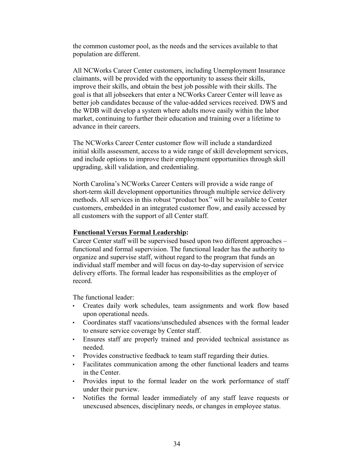the common customer pool, as the needs and the services available to that population are different.

All NCWorks Career Center customers, including Unemployment Insurance claimants, will be provided with the opportunity to assess their skills, improve their skills, and obtain the best job possible with their skills. The goal is that all jobseekers that enter a NCWorks Career Center will leave as better job candidates because of the value-added services received. DWS and the WDB will develop a system where adults move easily within the labor market, continuing to further their education and training over a lifetime to advance in their careers.

The NCWorks Career Center customer flow will include a standardized initial skills assessment, access to a wide range of skill development services, and include options to improve their employment opportunities through skill upgrading, skill validation, and credentialing.

North Carolina's NCWorks Career Centers will provide a wide range of short-term skill development opportunities through multiple service delivery methods. All services in this robust "product box" will be available to Center customers, embedded in an integrated customer flow, and easily accessed by all customers with the support of all Center staff.

#### **Functional Versus Formal Leadership:**

Career Center staff will be supervised based upon two different approaches – functional and formal supervision. The functional leader has the authority to organize and supervise staff, without regard to the program that funds an individual staff member and will focus on day-to-day supervision of service delivery efforts. The formal leader has responsibilities as the employer of record.

The functional leader:

- Creates daily work schedules, team assignments and work flow based upon operational needs.
- Coordinates staff vacations/unscheduled absences with the formal leader to ensure service coverage by Center staff.
- Ensures staff are properly trained and provided technical assistance as needed.
- Provides constructive feedback to team staff regarding their duties.
- Facilitates communication among the other functional leaders and teams in the Center.
- Provides input to the formal leader on the work performance of staff under their purview.
- Notifies the formal leader immediately of any staff leave requests or unexcused absences, disciplinary needs, or changes in employee status.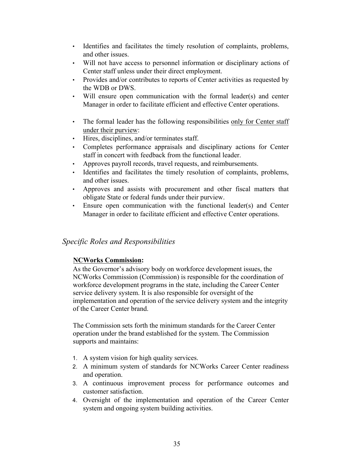- Identifies and facilitates the timely resolution of complaints, problems, and other issues.
- Will not have access to personnel information or disciplinary actions of Center staff unless under their direct employment.
- Provides and/or contributes to reports of Center activities as requested by the WDB or DWS.
- Will ensure open communication with the formal leader(s) and center Manager in order to facilitate efficient and effective Center operations.
- The formal leader has the following responsibilities only for Center staff under their purview:
- Hires, disciplines, and/or terminates staff.
- Completes performance appraisals and disciplinary actions for Center staff in concert with feedback from the functional leader.
- Approves payroll records, travel requests, and reimbursements.
- Identifies and facilitates the timely resolution of complaints, problems, and other issues.
- Approves and assists with procurement and other fiscal matters that obligate State or federal funds under their purview.
- Ensure open communication with the functional leader(s) and Center Manager in order to facilitate efficient and effective Center operations.

# *Specific Roles and Responsibilities*

# **NCWorks Commission:**

As the Governor's advisory body on workforce development issues, the NCWorks Commission (Commission) is responsible for the coordination of workforce development programs in the state, including the Career Center service delivery system. It is also responsible for oversight of the implementation and operation of the service delivery system and the integrity of the Career Center brand.

The Commission sets forth the minimum standards for the Career Center operation under the brand established for the system. The Commission supports and maintains:

- 1. A system vision for high quality services.
- 2. A minimum system of standards for NCWorks Career Center readiness and operation.
- 3. A continuous improvement process for performance outcomes and customer satisfaction.
- 4. Oversight of the implementation and operation of the Career Center system and ongoing system building activities.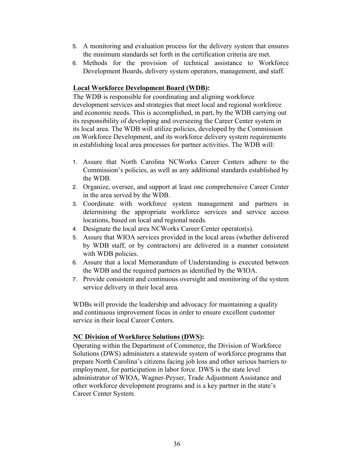- 5. A monitoring and evaluation process for the delivery system that ensures the minimum standards set forth in the certification criteria are met.
- 6. Methods for the provision of technical assistance to Workforce Development Boards, delivery system operators, management, and staff.

### **Local Workforce Development Board (WDB):**

The WDB is responsible for coordinating and aligning workforce development services and strategies that meet local and regional workforce and economic needs. This is accomplished, in part, by the WDB carrying out its responsibility of developing and overseeing the Career Center system in its local area. The WDB will utilize policies, developed by the Commission on Workforce Development, and its workforce delivery system requirements in establishing local area processes for partner activities. The WDB will:

- 1. Assure that North Carolina NCWorks Career Centers adhere to the Commission's policies, as well as any additional standards established by the WDB.
- 2. Organize, oversee, and support at least one comprehensive Career Center in the area served by the WDB.
- 3. Coordinate with workforce system management and partners in determining the appropriate workforce services and service access locations, based on local and regional needs.
- 4. Designate the local area NCWorks Career Center operator(s).
- 5. Assure that WIOA services provided in the local areas (whether delivered by WDB staff, or by contractors) are delivered in a manner consistent with WDB policies.
- 6. Assure that a local Memorandum of Understanding is executed between the WDB and the required partners as identified by the WIOA.
- 7. Provide consistent and continuous oversight and monitoring of the system service delivery in their local area.

WDBs will provide the leadership and advocacy for maintaining a quality and continuous improvement focus in order to ensure excellent customer service in their local Career Centers.

# **NC Division of Workforce Solutions (DWS):**

Operating within the Department of Commerce, the Division of Workforce Solutions (DWS) administers a statewide system of workforce programs that prepare North Carolina's citizens facing job loss and other serious barriers to employment, for participation in labor force. DWS is the state level administrator of WIOA, Wagner-Peyser, Trade Adjustment Assistance and other workforce development programs and is a key partner in the state's Career Center System.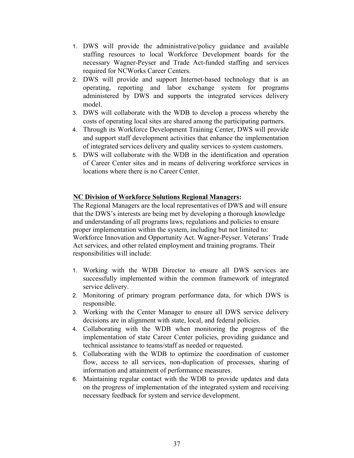- 1. DWS will provide the administrative/policy guidance and available staffing resources to local Workforce Development boards for the necessary Wagner-Peyser and Trade Act-funded staffing and services required for NCWorks Career Centers.
- 2. DWS will provide and support Internet-based technology that is an operating, reporting and labor exchange system for programs administered by DWS and supports the integrated services delivery model.
- 3. DWS will collaborate with the WDB to develop a process whereby the costs of operating local sites are shared among the participating partners.
- 4. Through its Workforce Development Training Center, DWS will provide and support staff development activities that enhance the implementation of integrated services delivery and quality services to system customers.
- 5. DWS will collaborate with the WDB in the identification and operation of Career Center sites and in means of delivering workforce services in locations where there is no Career Center.

#### **NC Division of Workforce Solutions Regional Managers:**

The Regional Managers are the local representatives of DWS and will ensure that the DWS's interests are being met by developing a thorough knowledge and understanding of all programs laws, regulations and policies to ensure proper implementation within the system, including but not limited to: Workforce Innovation and Opportunity Act. Wagner-Peyser. Veterans' Trade Act services, and other related employment and training programs. Their responsibilities will include:

- 1. Working with the WDB Director to ensure all DWS services are successfully implemented within the common framework of integrated service delivery.
- 2. Monitoring of primary program performance data, for which DWS is responsible.
- 3. Working with the Center Manager to ensure all DWS service delivery decisions are in alignment with state, local, and federal policies.
- 4. Collaborating with the WDB when monitoring the progress of the implementation of state Career Center policies, providing guidance and technical assistance to teams/staff as needed or requested.
- 5. Collaborating with the WDB to optimize the coordination of customer flow, access to all services, non-duplication of processes, sharing of information and attainment of performance measures.
- 6. Maintaining regular contact with the WDB to provide updates and data on the progress of implementation of the integrated system and receiving necessary feedback for system and service development.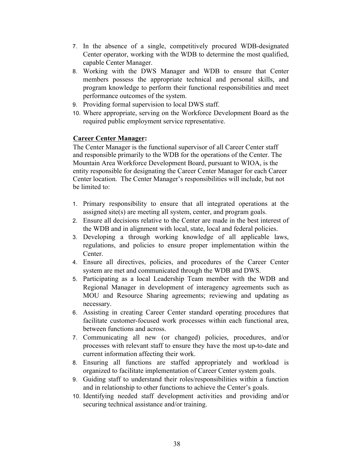- 7. In the absence of a single, competitively procured WDB-designated Center operator, working with the WDB to determine the most qualified, capable Center Manager.
- 8. Working with the DWS Manager and WDB to ensure that Center members possess the appropriate technical and personal skills, and program knowledge to perform their functional responsibilities and meet performance outcomes of the system.
- 9. Providing formal supervision to local DWS staff.
- 10. Where appropriate, serving on the Workforce Development Board as the required public employment service representative.

# **Career Center Manager:**

The Center Manager is the functional supervisor of all Career Center staff and responsible primarily to the WDB for the operations of the Center. The Mountain Area Workforce Development Board, pursuant to WIOA, is the entity responsible for designating the Career Center Manager for each Career Center location. The Center Manager's responsibilities will include, but not be limited to:

- 1. Primary responsibility to ensure that all integrated operations at the assigned site(s) are meeting all system, center, and program goals.
- 2. Ensure all decisions relative to the Center are made in the best interest of the WDB and in alignment with local, state, local and federal policies.
- 3. Developing a through working knowledge of all applicable laws, regulations, and policies to ensure proper implementation within the Center.
- 4. Ensure all directives, policies, and procedures of the Career Center system are met and communicated through the WDB and DWS.
- 5. Participating as a local Leadership Team member with the WDB and Regional Manager in development of interagency agreements such as MOU and Resource Sharing agreements; reviewing and updating as necessary.
- 6. Assisting in creating Career Center standard operating procedures that facilitate customer-focused work processes within each functional area, between functions and across.
- 7. Communicating all new (or changed) policies, procedures, and/or processes with relevant staff to ensure they have the most up-to-date and current information affecting their work.
- 8. Ensuring all functions are staffed appropriately and workload is organized to facilitate implementation of Career Center system goals.
- 9. Guiding staff to understand their roles/responsibilities within a function and in relationship to other functions to achieve the Center's goals.
- 10. Identifying needed staff development activities and providing and/or securing technical assistance and/or training.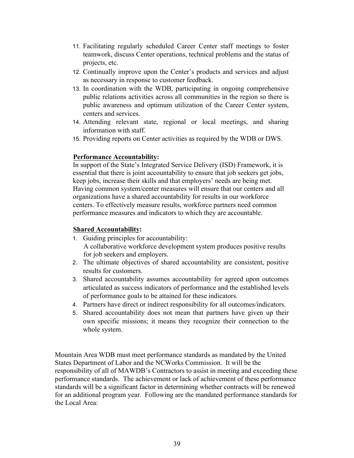- 11. Facilitating regularly scheduled Career Center staff meetings to foster teamwork, discuss Center operations, technical problems and the status of projects, etc.
- 12. Continually improve upon the Center's products and services and adjust as necessary in response to customer feedback.
- 13. In coordination with the WDB, participating in ongoing comprehensive public relations activities across all communities in the region so there is public awareness and optimum utilization of the Career Center system, centers and services.
- 14. Attending relevant state, regional or local meetings, and sharing information with staff.
- 15. Providing reports on Center activities as required by the WDB or DWS.

#### **Performance Accountability:**

In support of the State's Integrated Service Delivery (ISD) Framework, it is essential that there is joint accountability to ensure that job seekers get jobs, keep jobs, increase their skills and that employers' needs are being met. Having common system/center measures will ensure that our centers and all organizations have a shared accountability for results in our workforce centers. To effectively measure results, workforce partners need common performance measures and indicators to which they are accountable.

### **Shared Accountability:**

- 1. Guiding principles for accountability: A collaborative workforce development system produces positive results for job seekers and employers.
- 2. The ultimate objectives of shared accountability are consistent, positive results for customers.
- 3. Shared accountability assumes accountability for agreed upon outcomes articulated as success indicators of performance and the established levels of performance goals to be attained for these indicators.
- 4. Partners have direct or indirect responsibility for all outcomes/indicators.
- 5. Shared accountability does not mean that partners have given up their own specific missions; it means they recognize their connection to the whole system.

Mountain Area WDB must meet performance standards as mandated by the United States Department of Labor and the NCWorks Commission. It will be the responsibility of all of MAWDB's Contractors to assist in meeting and exceeding these performance standards. The achievement or lack of achievement of these performance standards will be a significant factor in determining whether contracts will be renewed for an additional program year. Following are the mandated performance standards for the Local Area: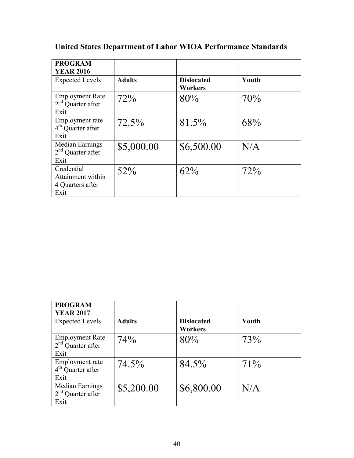| <b>PROGRAM</b><br><b>YEAR 2016</b>                          |               |                                     |       |
|-------------------------------------------------------------|---------------|-------------------------------------|-------|
| <b>Expected Levels</b>                                      | <b>Adults</b> | <b>Dislocated</b><br><b>Workers</b> | Youth |
| <b>Employment Rate</b><br>$2nd$ Quarter after<br>Exit       | 72%           | 80%                                 | 70%   |
| Employment rate<br>$4th$ Quarter after<br>Exit              | 72.5%         | 81.5%                               | 68%   |
| Median Earnings<br>$2nd$ Quarter after<br>Exit              | \$5,000.00    | \$6,500.00                          | N/A   |
| Credential<br>Attainment within<br>4 Quarters after<br>Exit | 52%           | 62%                                 | 72%   |

# **United States Department of Labor WIOA Performance Standards**

| <b>PROGRAM</b>                                        |               |                              |        |
|-------------------------------------------------------|---------------|------------------------------|--------|
| <b>YEAR 2017</b>                                      |               |                              |        |
| <b>Expected Levels</b>                                | <b>Adults</b> | <b>Dislocated</b><br>Workers | Youth  |
| <b>Employment Rate</b><br>$2nd$ Quarter after<br>Exit | 74%           | 80%                          | 73%    |
| Employment rate<br>$4th$ Ouarter after<br>Exit        | 74.5%         | 84.5%                        | $71\%$ |
| Median Earnings<br>$2nd$ Quarter after<br>Exit        | \$5,200.00    | \$6,800.00                   | N/A    |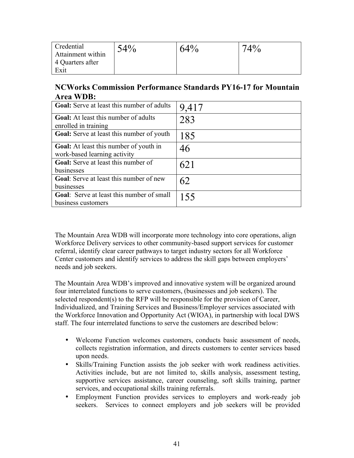| Credential        | 54% | 64% | A0/ |
|-------------------|-----|-----|-----|
| Attainment within |     |     |     |
| 4 Quarters after  |     |     |     |
| Exit              |     |     |     |

# **NCWorks Commission Performance Standards PY16-17 for Mountain Area WDB:**

| <b>Goal:</b> Serve at least this number of adults                             | 9,417 |
|-------------------------------------------------------------------------------|-------|
| <b>Goal:</b> At least this number of adults<br>enrolled in training           | 283   |
| <b>Goal:</b> Serve at least this number of youth                              | 185   |
| <b>Goal:</b> At least this number of youth in<br>work-based learning activity | 46    |
| <b>Goal:</b> Serve at least this number of<br>businesses                      | 621   |
| Goal: Serve at least this number of new<br>businesses                         | 62    |
| Goal: Serve at least this number of small<br>business customers               | 155   |

The Mountain Area WDB will incorporate more technology into core operations, align Workforce Delivery services to other community-based support services for customer referral, identify clear career pathways to target industry sectors for all Workforce Center customers and identify services to address the skill gaps between employers' needs and job seekers.

The Mountain Area WDB's improved and innovative system will be organized around four interrelated functions to serve customers, (businesses and job seekers). The selected respondent(s) to the RFP will be responsible for the provision of Career, Individualized, and Training Services and Business/Employer services associated with the Workforce Innovation and Opportunity Act (WIOA), in partnership with local DWS staff. The four interrelated functions to serve the customers are described below:

- Welcome Function welcomes customers, conducts basic assessment of needs, collects registration information, and directs customers to center services based upon needs.
- Skills/Training Function assists the job seeker with work readiness activities. Activities include, but are not limited to, skills analysis, assessment testing, supportive services assistance, career counseling, soft skills training, partner services, and occupational skills training referrals.
- Employment Function provides services to employers and work-ready job seekers. Services to connect employers and job seekers will be provided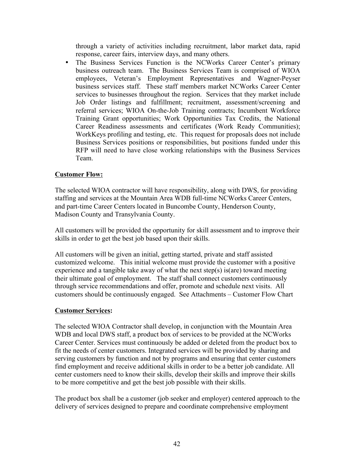through a variety of activities including recruitment, labor market data, rapid response, career fairs, interview days, and many others.

• The Business Services Function is the NCWorks Career Center's primary business outreach team. The Business Services Team is comprised of WIOA employees, Veteran's Employment Representatives and Wagner-Peyser business services staff. These staff members market NCWorks Career Center services to businesses throughout the region. Services that they market include Job Order listings and fulfillment; recruitment, assessment/screening and referral services; WIOA On-the-Job Training contracts; Incumbent Workforce Training Grant opportunities; Work Opportunities Tax Credits, the National Career Readiness assessments and certificates (Work Ready Communities); WorkKeys profiling and testing, etc. This request for proposals does not include Business Services positions or responsibilities, but positions funded under this RFP will need to have close working relationships with the Business Services Team.

# **Customer Flow:**

The selected WIOA contractor will have responsibility, along with DWS, for providing staffing and services at the Mountain Area WDB full-time NCWorks Career Centers, and part-time Career Centers located in Buncombe County, Henderson County, Madison County and Transylvania County.

All customers will be provided the opportunity for skill assessment and to improve their skills in order to get the best job based upon their skills.

All customers will be given an initial, getting started, private and staff assisted customized welcome. This initial welcome must provide the customer with a positive experience and a tangible take away of what the next step(s) is(are) toward meeting their ultimate goal of employment. The staff shall connect customers continuously through service recommendations and offer, promote and schedule next visits. All customers should be continuously engaged. See Attachments – Customer Flow Chart

# **Customer Services:**

The selected WIOA Contractor shall develop, in conjunction with the Mountain Area WDB and local DWS staff, a product box of services to be provided at the NCWorks Career Center. Services must continuously be added or deleted from the product box to fit the needs of center customers. Integrated services will be provided by sharing and serving customers by function and not by programs and ensuring that center customers find employment and receive additional skills in order to be a better job candidate. All center customers need to know their skills, develop their skills and improve their skills to be more competitive and get the best job possible with their skills.

The product box shall be a customer (job seeker and employer) centered approach to the delivery of services designed to prepare and coordinate comprehensive employment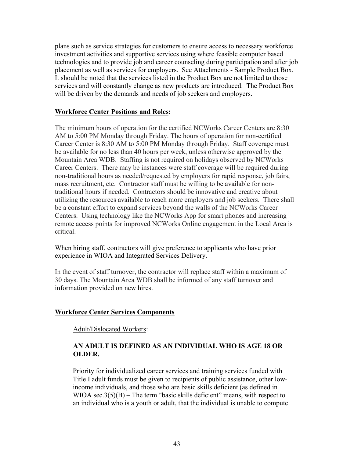plans such as service strategies for customers to ensure access to necessary workforce investment activities and supportive services using where feasible computer based technologies and to provide job and career counseling during participation and after job placement as well as services for employers. See Attachments - Sample Product Box. It should be noted that the services listed in the Product Box are not limited to those services and will constantly change as new products are introduced. The Product Box will be driven by the demands and needs of job seekers and employers.

#### **Workforce Center Positions and Roles:**

The minimum hours of operation for the certified NCWorks Career Centers are 8:30 AM to 5:00 PM Monday through Friday. The hours of operation for non-certified Career Center is 8:30 AM to 5:00 PM Monday through Friday. Staff coverage must be available for no less than 40 hours per week, unless otherwise approved by the Mountain Area WDB. Staffing is not required on holidays observed by NCWorks Career Centers. There may be instances were staff coverage will be required during non-traditional hours as needed/requested by employers for rapid response, job fairs, mass recruitment, etc. Contractor staff must be willing to be available for nontraditional hours if needed. Contractors should be innovative and creative about utilizing the resources available to reach more employers and job seekers. There shall be a constant effort to expand services beyond the walls of the NCWorks Career Centers. Using technology like the NCWorks App for smart phones and increasing remote access points for improved NCWorks Online engagement in the Local Area is critical.

When hiring staff, contractors will give preference to applicants who have prior experience in WIOA and Integrated Services Delivery.

In the event of staff turnover, the contractor will replace staff within a maximum of 30 days. The Mountain Area WDB shall be informed of any staff turnover and information provided on new hires.

#### **Workforce Center Services Components**

Adult/Dislocated Workers:

#### **AN ADULT IS DEFINED AS AN INDIVIDUAL WHO IS AGE 18 OR OLDER.**

Priority for individualized career services and training services funded with Title I adult funds must be given to recipients of public assistance, other lowincome individuals, and those who are basic skills deficient (as defined in WIOA sec.  $3(5)(B)$  – The term "basic skills deficient" means, with respect to an individual who is a youth or adult, that the individual is unable to compute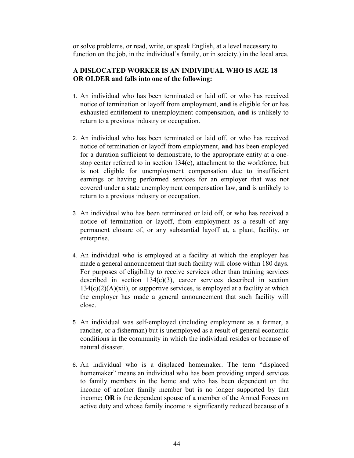or solve problems, or read, write, or speak English, at a level necessary to function on the job, in the individual's family, or in society.) in the local area.

# **A DISLOCATED WORKER IS AN INDIVIDUAL WHO IS AGE 18 OR OLDER and falls into one of the following:**

- 1. An individual who has been terminated or laid off, or who has received notice of termination or layoff from employment, **and** is eligible for or has exhausted entitlement to unemployment compensation, **and** is unlikely to return to a previous industry or occupation.
- 2. An individual who has been terminated or laid off, or who has received notice of termination or layoff from employment, **and** has been employed for a duration sufficient to demonstrate, to the appropriate entity at a onestop center referred to in section 134(c), attachment to the workforce, but is not eligible for unemployment compensation due to insufficient earnings or having performed services for an employer that was not covered under a state unemployment compensation law, **and** is unlikely to return to a previous industry or occupation.
- 3. An individual who has been terminated or laid off, or who has received a notice of termination or layoff, from employment as a result of any permanent closure of, or any substantial layoff at, a plant, facility, or enterprise.
- 4. An individual who is employed at a facility at which the employer has made a general announcement that such facility will close within 180 days. For purposes of eligibility to receive services other than training services described in section  $134(c)(3)$ , career services described in section  $134(c)(2)(A)(xii)$ , or supportive services, is employed at a facility at which the employer has made a general announcement that such facility will close.
- 5. An individual was self-employed (including employment as a farmer, a rancher, or a fisherman) but is unemployed as a result of general economic conditions in the community in which the individual resides or because of natural disaster.
- 6. An individual who is a displaced homemaker. The term "displaced homemaker" means an individual who has been providing unpaid services to family members in the home and who has been dependent on the income of another family member but is no longer supported by that income; **OR** is the dependent spouse of a member of the Armed Forces on active duty and whose family income is significantly reduced because of a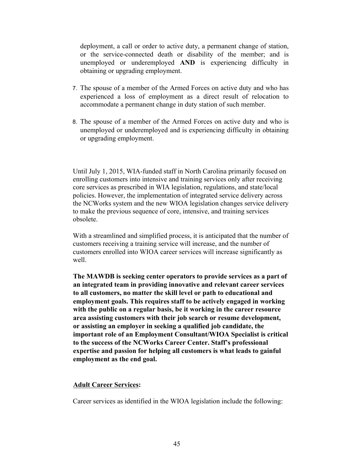deployment, a call or order to active duty, a permanent change of station, or the service-connected death or disability of the member; and is unemployed or underemployed **AND** is experiencing difficulty in obtaining or upgrading employment.

- 7. The spouse of a member of the Armed Forces on active duty and who has experienced a loss of employment as a direct result of relocation to accommodate a permanent change in duty station of such member.
- 8. The spouse of a member of the Armed Forces on active duty and who is unemployed or underemployed and is experiencing difficulty in obtaining or upgrading employment.

Until July 1, 2015, WIA-funded staff in North Carolina primarily focused on enrolling customers into intensive and training services only after receiving core services as prescribed in WIA legislation, regulations, and state/local policies. However, the implementation of integrated service delivery across the NCWorks system and the new WIOA legislation changes service delivery to make the previous sequence of core, intensive, and training services obsolete.

With a streamlined and simplified process, it is anticipated that the number of customers receiving a training service will increase, and the number of customers enrolled into WIOA career services will increase significantly as well.

**The MAWDB is seeking center operators to provide services as a part of an integrated team in providing innovative and relevant career services to all customers, no matter the skill level or path to educational and employment goals. This requires staff to be actively engaged in working with the public on a regular basis, be it working in the career resource area assisting customers with their job search or resume development, or assisting an employer in seeking a qualified job candidate, the important role of an Employment Consultant/WIOA Specialist is critical to the success of the NCWorks Career Center. Staff's professional expertise and passion for helping all customers is what leads to gainful employment as the end goal.** 

#### **Adult Career Services:**

Career services as identified in the WIOA legislation include the following: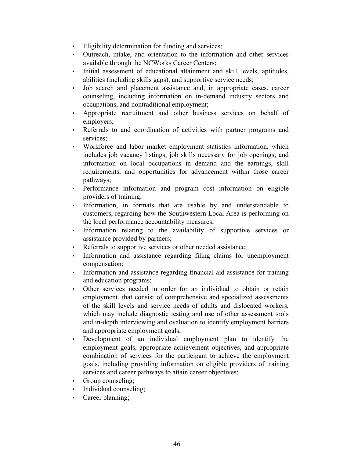- Eligibility determination for funding and services;
- Outreach, intake, and orientation to the information and other services available through the NCWorks Career Centers;
- Initial assessment of educational attainment and skill levels, aptitudes, abilities (including skills gaps), and supportive service needs;
- Job search and placement assistance and, in appropriate cases, career counseling, including information on in-demand industry sectors and occupations, and nontraditional employment;
- Appropriate recruitment and other business services on behalf of employers;
- Referrals to and coordination of activities with partner programs and services;
- Workforce and labor market employment statistics information, which includes job vacancy listings; job skills necessary for job openings; and information on local occupations in demand and the earnings, skill requirements, and opportunities for advancement within those career pathways;
- Performance information and program cost information on eligible providers of training;
- Information, in formats that are usable by and understandable to customers, regarding how the Southwestern Local Area is performing on the local performance accountability measures;
- Information relating to the availability of supportive services or assistance provided by partners;
- Referrals to supportive services or other needed assistance;
- Information and assistance regarding filing claims for unemployment compensation;
- Information and assistance regarding financial aid assistance for training and education programs;
- Other services needed in order for an individual to obtain or retain employment, that consist of comprehensive and specialized assessments of the skill levels and service needs of adults and dislocated workers, which may include diagnostic testing and use of other assessment tools and in-depth interviewing and evaluation to identify employment barriers and appropriate employment goals;
- Development of an individual employment plan to identify the employment goals, appropriate achievement objectives, and appropriate combination of services for the participant to achieve the employment goals, including providing information on eligible providers of training services and career pathways to attain career objectives;
- Group counseling;
- Individual counseling;
- Career planning;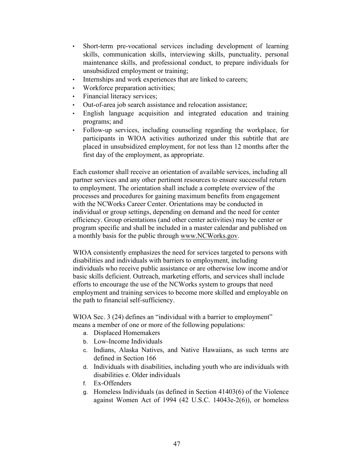- Short-term pre-vocational services including development of learning skills, communication skills, interviewing skills, punctuality, personal maintenance skills, and professional conduct, to prepare individuals for unsubsidized employment or training;
- Internships and work experiences that are linked to careers;
- Workforce preparation activities;
- Financial literacy services;
- Out-of-area job search assistance and relocation assistance;
- English language acquisition and integrated education and training programs; and
- Follow-up services, including counseling regarding the workplace, for participants in WIOA activities authorized under this subtitle that are placed in unsubsidized employment, for not less than 12 months after the first day of the employment, as appropriate.

Each customer shall receive an orientation of available services, including all partner services and any other pertinent resources to ensure successful return to employment. The orientation shall include a complete overview of the processes and procedures for gaining maximum benefits from engagement with the NCWorks Career Center. Orientations may be conducted in individual or group settings, depending on demand and the need for center efficiency. Group orientations (and other center activities) may be center or program specific and shall be included in a master calendar and published on a monthly basis for the public through www.NCWorks.gov.

WIOA consistently emphasizes the need for services targeted to persons with disabilities and individuals with barriers to employment, including individuals who receive public assistance or are otherwise low income and/or basic skills deficient. Outreach, marketing efforts, and services shall include efforts to encourage the use of the NCWorks system to groups that need employment and training services to become more skilled and employable on the path to financial self-sufficiency.

WIOA Sec. 3 (24) defines an "individual with a barrier to employment" means a member of one or more of the following populations:

- a. Displaced Homemakers
- b. Low-Income Individuals
- c. Indians, Alaska Natives, and Native Hawaiians, as such terms are defined in Section 166
- d. Individuals with disabilities, including youth who are individuals with disabilities e. Older individuals
- f. Ex-Offenders
- g. Homeless Individuals (as defined in Section 41403(6) of the Violence against Women Act of 1994 (42 U.S.C. 14043e-2(6)), or homeless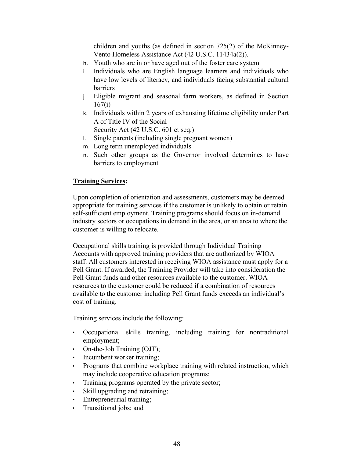children and youths (as defined in section 725(2) of the McKinney-Vento Homeless Assistance Act (42 U.S.C. 11434a(2)).

- h. Youth who are in or have aged out of the foster care system
- i. Individuals who are English language learners and individuals who have low levels of literacy, and individuals facing substantial cultural barriers
- j. Eligible migrant and seasonal farm workers, as defined in Section 167(i)
- k. Individuals within 2 years of exhausting lifetime eligibility under Part A of Title IV of the Social

Security Act (42 U.S.C. 601 et seq.)

- l. Single parents (including single pregnant women)
- m. Long term unemployed individuals
- n. Such other groups as the Governor involved determines to have barriers to employment

#### **Training Services:**

Upon completion of orientation and assessments, customers may be deemed appropriate for training services if the customer is unlikely to obtain or retain self-sufficient employment. Training programs should focus on in-demand industry sectors or occupations in demand in the area, or an area to where the customer is willing to relocate.

Occupational skills training is provided through Individual Training Accounts with approved training providers that are authorized by WIOA staff. All customers interested in receiving WIOA assistance must apply for a Pell Grant. If awarded, the Training Provider will take into consideration the Pell Grant funds and other resources available to the customer. WIOA resources to the customer could be reduced if a combination of resources available to the customer including Pell Grant funds exceeds an individual's cost of training.

Training services include the following:

- Occupational skills training, including training for nontraditional employment;
- On-the-Job Training (OJT);
- Incumbent worker training;
- Programs that combine workplace training with related instruction, which may include cooperative education programs;
- Training programs operated by the private sector;
- Skill upgrading and retraining;
- Entrepreneurial training;
- Transitional jobs; and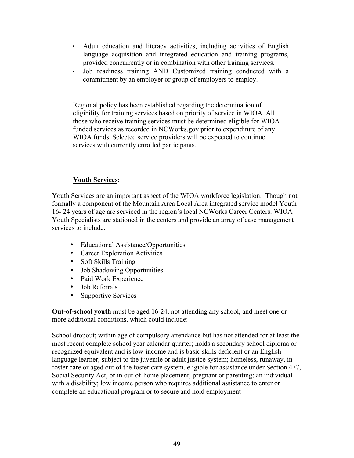- Adult education and literacy activities, including activities of English language acquisition and integrated education and training programs, provided concurrently or in combination with other training services.
- Job readiness training AND Customized training conducted with a commitment by an employer or group of employers to employ.

Regional policy has been established regarding the determination of eligibility for training services based on priority of service in WIOA. All those who receive training services must be determined eligible for WIOAfunded services as recorded in NCWorks.gov prior to expenditure of any WIOA funds. Selected service providers will be expected to continue services with currently enrolled participants.

# **Youth Services:**

Youth Services are an important aspect of the WIOA workforce legislation. Though not formally a component of the Mountain Area Local Area integrated service model Youth 16- 24 years of age are serviced in the region's local NCWorks Career Centers. WIOA Youth Specialists are stationed in the centers and provide an array of case management services to include:

- Educational Assistance/Opportunities
- Career Exploration Activities
- Soft Skills Training
- Job Shadowing Opportunities
- Paid Work Experience
- Job Referrals
- Supportive Services

**Out-of-school youth** must be aged 16-24, not attending any school, and meet one or more additional conditions, which could include:

School dropout; within age of compulsory attendance but has not attended for at least the most recent complete school year calendar quarter; holds a secondary school diploma or recognized equivalent and is low-income and is basic skills deficient or an English language learner; subject to the juvenile or adult justice system; homeless, runaway, in foster care or aged out of the foster care system, eligible for assistance under Section 477, Social Security Act, or in out-of-home placement; pregnant or parenting; an individual with a disability; low income person who requires additional assistance to enter or complete an educational program or to secure and hold employment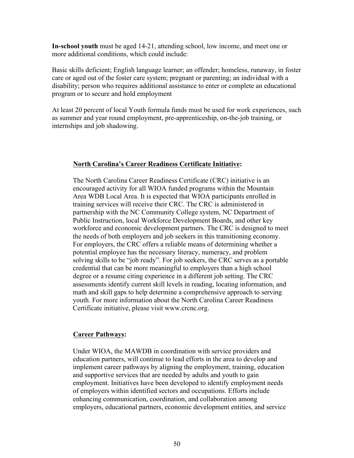**In-school youth** must be aged 14-21, attending school, low income, and meet one or more additional conditions, which could include:

Basic skills deficient; English language learner; an offender; homeless, runaway, in foster care or aged out of the foster care system; pregnant or parenting; an individual with a disability; person who requires additional assistance to enter or complete an educational program or to secure and hold employment

At least 20 percent of local Youth formula funds must be used for work experiences, such as summer and year round employment, pre-apprenticeship, on-the-job training, or internships and job shadowing.

#### **North Carolina's Career Readiness Certificate Initiative:**

The North Carolina Career Readiness Certificate (CRC) initiative is an encouraged activity for all WIOA funded programs within the Mountain Area WDB Local Area. It is expected that WIOA participants enrolled in training services will receive their CRC. The CRC is administered in partnership with the NC Community College system, NC Department of Public Instruction, local Workforce Development Boards, and other key workforce and economic development partners. The CRC is designed to meet the needs of both employers and job seekers in this transitioning economy. For employers, the CRC offers a reliable means of determining whether a potential employee has the necessary literacy, numeracy, and problem solving skills to be "job ready". For job seekers, the CRC serves as a portable credential that can be more meaningful to employers than a high school degree or a resume citing experience in a different job setting. The CRC assessments identify current skill levels in reading, locating information, and math and skill gaps to help determine a comprehensive approach to serving youth. For more information about the North Carolina Career Readiness Certificate initiative, please visit www.crcnc.org.

# **Career Pathways:**

Under WIOA, the MAWDB in coordination with service providers and education partners, will continue to lead efforts in the area to develop and implement career pathways by aligning the employment, training, education and supportive services that are needed by adults and youth to gain employment. Initiatives have been developed to identify employment needs of employers within identified sectors and occupations. Efforts include enhancing communication, coordination, and collaboration among employers, educational partners, economic development entities, and service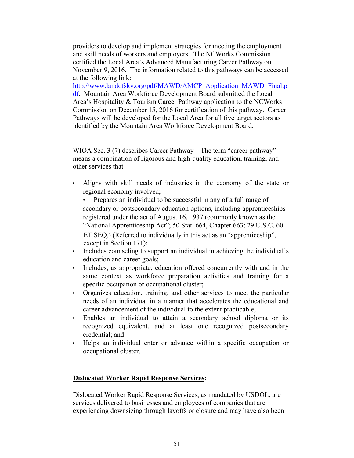providers to develop and implement strategies for meeting the employment and skill needs of workers and employers. The NCWorks Commission certified the Local Area's Advanced Manufacturing Career Pathway on November 9, 2016. The information related to this pathways can be accessed at the following link:

http://www.landofsky.org/pdf/MAWD/AMCP\_Application\_MAWD\_Final.p df. Mountain Area Workforce Development Board submitted the Local Area's Hospitality & Tourism Career Pathway application to the NCWorks Commission on December 15, 2016 for certification of this pathway. Career Pathways will be developed for the Local Area for all five target sectors as identified by the Mountain Area Workforce Development Board.

WIOA Sec. 3 (7) describes Career Pathway – The term "career pathway" means a combination of rigorous and high-quality education, training, and other services that

• Aligns with skill needs of industries in the economy of the state or regional economy involved;

• Prepares an individual to be successful in any of a full range of secondary or postsecondary education options, including apprenticeships registered under the act of August 16, 1937 (commonly known as the "National Apprenticeship Act"; 50 Stat. 664, Chapter 663; 29 U.S.C. 60 ET SEQ.) (Referred to individually in this act as an "apprenticeship", except in Section 171);

- Includes counseling to support an individual in achieving the individual's education and career goals;
- Includes, as appropriate, education offered concurrently with and in the same context as workforce preparation activities and training for a specific occupation or occupational cluster;
- Organizes education, training, and other services to meet the particular needs of an individual in a manner that accelerates the educational and career advancement of the individual to the extent practicable;
- Enables an individual to attain a secondary school diploma or its recognized equivalent, and at least one recognized postsecondary credential; and
- Helps an individual enter or advance within a specific occupation or occupational cluster.

#### **Dislocated Worker Rapid Response Services:**

Dislocated Worker Rapid Response Services, as mandated by USDOL, are services delivered to businesses and employees of companies that are experiencing downsizing through layoffs or closure and may have also been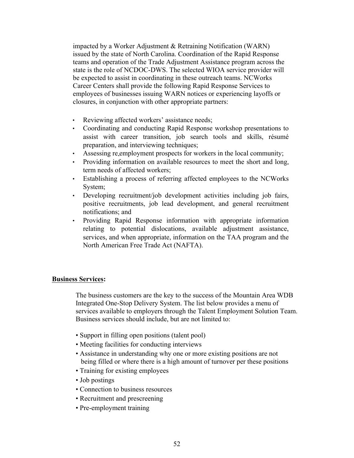impacted by a Worker Adjustment & Retraining Notification (WARN) issued by the state of North Carolina. Coordination of the Rapid Response teams and operation of the Trade Adjustment Assistance program across the state is the role of NCDOC-DWS. The selected WIOA service provider will be expected to assist in coordinating in these outreach teams. NCWorks Career Centers shall provide the following Rapid Response Services to employees of businesses issuing WARN notices or experiencing layoffs or closures, in conjunction with other appropriate partners:

- Reviewing affected workers' assistance needs;
- Coordinating and conducting Rapid Response workshop presentations to assist with career transition, job search tools and skills, résumé preparation, and interviewing techniques;
- Assessing re employment prospects for workers in the local community;
- Providing information on available resources to meet the short and long term needs of affected workers;
- Establishing a process of referring affected employees to the NCWorks System;
- Developing recruitment/job development activities including job fairs, positive recruitments, job lead development, and general recruitment notifications; and
- Providing Rapid Response information with appropriate information relating to potential dislocations, available adjustment assistance, services, and when appropriate, information on the TAA program and the North American Free Trade Act (NAFTA).

#### **Business Services:**

The business customers are the key to the success of the Mountain Area WDB Integrated One-Stop Delivery System. The list below provides a menu of services available to employers through the Talent Employment Solution Team. Business services should include, but are not limited to:

- Support in filling open positions (talent pool)
- Meeting facilities for conducting interviews
- Assistance in understanding why one or more existing positions are not being filled or where there is a high amount of turnover per these positions
- Training for existing employees
- Job postings
- Connection to business resources
- Recruitment and prescreening
- Pre-employment training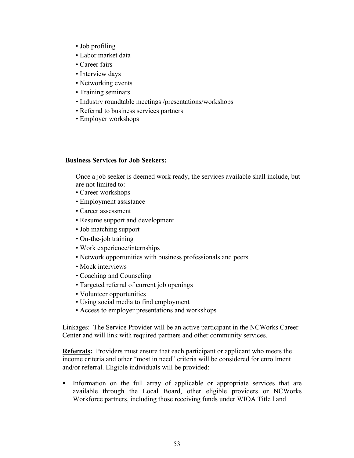- Job profiling
- Labor market data
- Career fairs
- Interview days
- Networking events
- Training seminars
- Industry roundtable meetings /presentations/workshops
- Referral to business services partners
- Employer workshops

#### **Business Services for Job Seekers:**

Once a job seeker is deemed work ready, the services available shall include, but are not limited to:

- Career workshops
- Employment assistance
- Career assessment
- Resume support and development
- Job matching support
- On-the-job training
- Work experience/internships
- Network opportunities with business professionals and peers
- Mock interviews
- Coaching and Counseling
- Targeted referral of current job openings
- Volunteer opportunities
- Using social media to find employment
- Access to employer presentations and workshops

Linkages: The Service Provider will be an active participant in the NCWorks Career Center and will link with required partners and other community services.

**Referrals:** Providers must ensure that each participant or applicant who meets the income criteria and other "most in need" criteria will be considered for enrollment and/or referral. Eligible individuals will be provided:

• Information on the full array of applicable or appropriate services that are available through the Local Board, other eligible providers or NCWorks Workforce partners, including those receiving funds under WIOA Title l and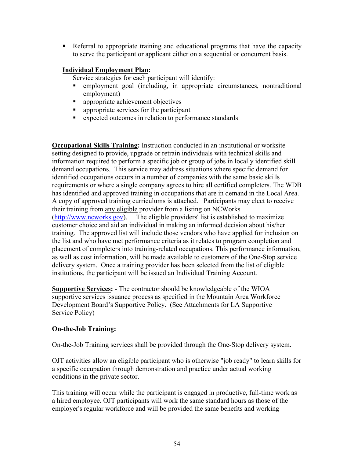• Referral to appropriate training and educational programs that have the capacity to serve the participant or applicant either on a sequential or concurrent basis.

# **Individual Employment Plan:**

Service strategies for each participant will identify:

- employment goal (including, in appropriate circumstances, nontraditional employment)
- appropriate achievement objectives
- appropriate services for the participant
- expected outcomes in relation to performance standards

**Occupational Skills Training:** Instruction conducted in an institutional or worksite setting designed to provide, upgrade or retrain individuals with technical skills and information required to perform a specific job or group of jobs in locally identified skill demand occupations. This service may address situations where specific demand for identified occupations occurs in a number of companies with the same basic skills requirements or where a single company agrees to hire all certified completers. The WDB has identified and approved training in occupations that are in demand in the Local Area. A copy of approved training curriculums is attached. Participants may elect to receive their training from any eligible provider from a listing on NCWorks (http://www.ncworks.gov). The eligible providers' list is established to maximize customer choice and aid an individual in making an informed decision about his/her training. The approved list will include those vendors who have applied for inclusion on the list and who have met performance criteria as it relates to program completion and placement of completers into training-related occupations. This performance information, as well as cost information, will be made available to customers of the One-Stop service delivery system. Once a training provider has been selected from the list of eligible institutions, the participant will be issued an Individual Training Account.

**Supportive Services:** - The contractor should be knowledgeable of the WIOA supportive services issuance process as specified in the Mountain Area Workforce Development Board's Supportive Policy. (See Attachments for LA Supportive Service Policy)

# **On-the-Job Training:**

On-the-Job Training services shall be provided through the One-Stop delivery system.

OJT activities allow an eligible participant who is otherwise "job ready" to learn skills for a specific occupation through demonstration and practice under actual working conditions in the private sector.

This training will occur while the participant is engaged in productive, full-time work as a hired employee. OJT participants will work the same standard hours as those of the employer's regular workforce and will be provided the same benefits and working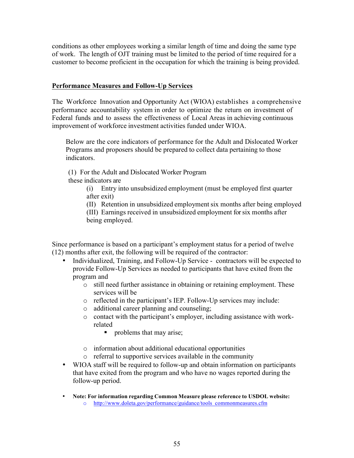conditions as other employees working a similar length of time and doing the same type of work. The length of OJT training must be limited to the period of time required for a customer to become proficient in the occupation for which the training is being provided.

#### **Performance Measures and Follow-Up Services**

The Workforce Innovation and Opportunity Act (WIOA) establishes a comprehensive performance accountability system in order to optimize the return on investment of Federal funds and to assess the effectiveness of Local Areas in achieving continuous improvement of workforce investment activities funded under WIOA.

Below are the core indicators of performance for the Adult and Dislocated Worker Programs and proposers should be prepared to collect data pertaining to those indicators.

(1) For the Adult and Dislocated Worker Program these indicators are

> (i) Entry into unsubsidized employment (must be employed first quarter after exit)

(II) Retention in unsubsidized employment six months after being employed (III) Earnings received in unsubsidized employment for six months after being employed.

Since performance is based on a participant's employment status for a period of twelve (12) months after exit, the following will be required of the contractor:

- Individualized, Training, and Follow-Up Service contractors will be expected to provide Follow-Up Services as needed to participants that have exited from the program and
	- o still need further assistance in obtaining or retaining employment. These services will be
	- o reflected in the participant's IEP. Follow-Up services may include:
	- o additional career planning and counseling;
	- o contact with the participant's employer, including assistance with workrelated
		- problems that may arise;
	- o information about additional educational opportunities
	- o referral to supportive services available in the community
- WIOA staff will be required to follow-up and obtain information on participants that have exited from the program and who have no wages reported during the follow-up period.
- **Note: For information regarding Common Measure please reference to USDOL website:**
	- o http://www.doleta.gov/performance/guidance/tools\_commonmeasures.cfm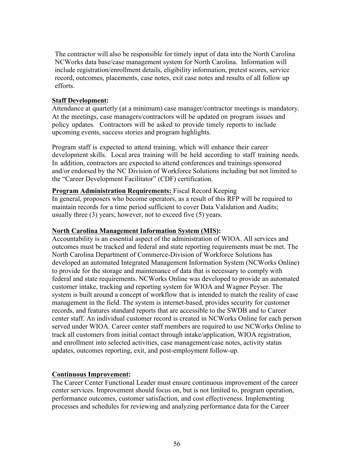The contractor will also be responsible for timely input of data into the North Carolina NCWorks data base/case management system for North Carolina. Information will include registration/enrollment details, eligibility information, pretest scores, service record, outcomes, placements, case notes, exit case notes and results of all follow up efforts.

#### **Staff Development:**

Attendance at quarterly (at a minimum) case manager/contractor meetings is mandatory. At the meetings, case managers/contractors will be updated on program issues and policy updates. Contractors will be asked to provide timely reports to include upcoming events, success stories and program highlights.

Program staff is expected to attend training, which will enhance their career development skills. Local area training will be held according to staff training needs. In addition, contractors are expected to attend conferences and trainings sponsored and/or endorsed by the NC Division of Workforce Solutions including but not limited to the "Career Development Facilitator" (CDF) certification.

**Program Administration Requirements:** Fiscal Record Keeping In general, proposers who become operators, as a result of this RFP will be required to maintain records for a time period sufficient to cover Data Validation and Audits; usually three (3) years; however, not to exceed five (5) years.

#### **North Carolina Management Information System (MIS):**

Accountability is an essential aspect of the administration of WIOA. All services and outcomes must be tracked and federal and state reporting requirements must be met. The North Carolina Department of Commerce-Division of Workforce Solutions has developed an automated Integrated Management Information System (NCWorks Online) to provide for the storage and maintenance of data that is necessary to comply with federal and state requirements. NCWorks Online was developed to provide an automated customer intake, tracking and reporting system for WIOA and Wagner Peyser. The system is built around a concept of workflow that is intended to match the reality of case management in the field. The system is internet-based, provides security for customer records, and features standard reports that are accessible to the SWDB and to Career center staff. An individual customer record is created in NCWorks Online for each person served under WIOA. Career center staff members are required to use NCWorks Online to track all customers from initial contact through intake/application, WIOA registration, and enrollment into selected activities, case management/case notes, activity status updates, outcomes reporting, exit, and post-employment follow-up.

#### **Continuous Improvement:**

The Career Center Functional Leader must ensure continuous improvement of the career center services. Improvement should focus on, but is not limited to, program operation, performance outcomes, customer satisfaction, and cost effectiveness. Implementing processes and schedules for reviewing and analyzing performance data for the Career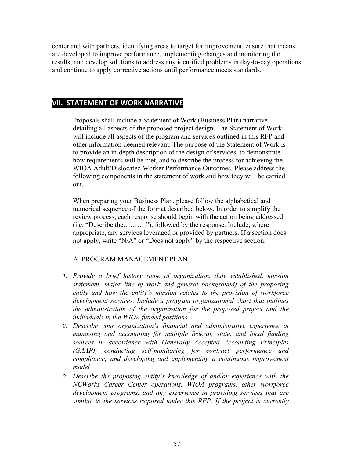center and with partners, identifying areas to target for improvement, ensure that means are developed to improve performance, implementing changes and monitoring the results; and develop solutions to address any identified problems in day-to-day operations and continue to apply corrective actions until performance meets standards.

# **VII. STATEMENT OF WORK NARRATIVE**

Proposals shall include a Statement of Work (Business Plan) narrative detailing all aspects of the proposed project design. The Statement of Work will include all aspects of the program and services outlined in this RFP and other information deemed relevant. The purpose of the Statement of Work is to provide an in-depth description of the design of services, to demonstrate how requirements will be met, and to describe the process for achieving the WIOA Adult/Dislocated Worker Performance Outcomes. Please address the following components in the statement of work and how they will be carried out.

When preparing your Business Plan, please follow the alphabetical and numerical sequence of the format described below. In order to simplify the review process, each response should begin with the action being addressed (i.e. "Describe the………."), followed by the response. Include, where appropriate, any services leveraged or provided by partners. If a section does not apply, write "N/A" or "Does not apply" by the respective section.

# A. PROGRAM MANAGEMENT PLAN

- *1. Provide a brief history (type of organization, date established, mission statement, major line of work and general background) of the proposing entity and how the entity's mission relates to the provision of workforce development services. Include a program organizational chart that outlines the administration of the organization for the proposed project and the individuals in the WIOA funded positions.*
- *2. Describe your organization's financial and administrative experience in managing and accounting for multiple federal, state, and local funding sources in accordance with Generally Accepted Accounting Principles (GAAP); conducting self-monitoring for contract performance and compliance; and developing and implementing a continuous improvement model.*
- *3. Describe the proposing entity's knowledge of and/or experience with the NCWorks Career Center operations, WIOA programs, other workforce development programs, and any experience in providing services that are similar to the services required under this RFP. If the project is currently*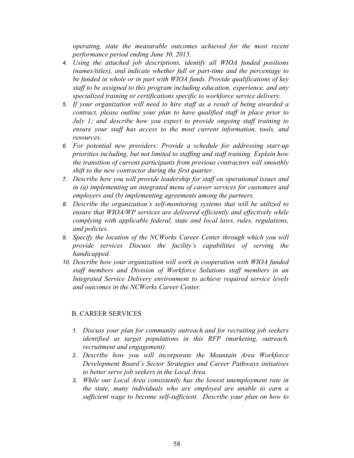*operating, state the measurable outcomes achieved for the most recent performance period ending June 30, 2015.* 

- *4. Using the attached job descriptions, identify all WIOA funded positions (names/titles), and indicate whether full or part-time and the percentage to be funded in whole or in part with WIOA funds. Provide qualifications of key staff to be assigned to this program including education, experience, and any specialized training or certifications specific to workforce service delivery.*
- *5. If your organization will need to hire staff as a result of being awarded a contract, please outline your plan to have qualified staff in place prior to July 1; and describe how you expect to provide ongoing staff training to ensure your staff has access to the most current information, tools, and resources.*
- *6. For potential new providers: Provide a schedule for addressing start-up priorities including, but not limited to staffing and staff training. Explain how the transition of current participants from previous contractors will smoothly shift to the new contractor during the first quarter.*
- *7. Describe how you will provide leadership for staff on operational issues and in (a) implementing an integrated menu of career services for customers and employers and (b) implementing agreements among the partners.*
- *8. Describe the organization's self-monitoring systems that will be utilized to ensure that WIOA/WP services are delivered efficiently and effectively while complying with applicable federal, state and local laws, rules, regulations, and policies.*
- *9. Specify the location of the NCWorks Career Center through which you will provide services Discuss the facility's capabilities of serving the handicapped.*
- *10. Describe how your organization will work in cooperation with WIOA funded staff members and Division of Workforce Solutions staff members in an Integrated Service Delivery environment to achieve required service levels and outcomes in the NCWorks Career Center.*

#### B. CAREER SERVICES

- *1. Discuss your plan for community outreach and for recruiting job seekers identified as target populations in this RFP (marketing, outreach, recruitment and engagement).*
- *2. Describe how you will incorporate the Mountain Area Workforce Development Board's Sector Strategies and Career Pathways initiatives to better serve job seekers in the Local Area.*
- *3. While our Local Area consistently has the lowest unemployment rate in the state, many individuals who are employed are unable to earn a sufficient wage to become self-sufficient. Describe your plan on how to*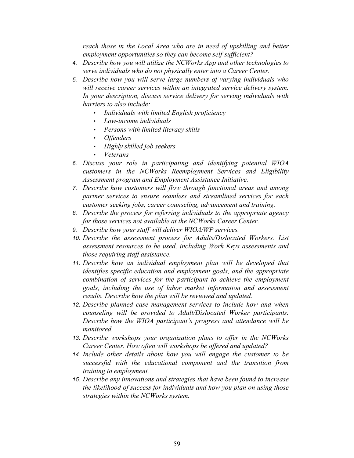*reach those in the Local Area who are in need of upskilling and better employment opportunities so they can become self-sufficient?*

- *4. Describe how you will utilize the NCWorks App and other technologies to serve individuals who do not physically enter into a Career Center.*
- *5. Describe how you will serve large numbers of varying individuals who will receive career services within an integrated service delivery system. In your description, discuss service delivery for serving individuals with barriers to also include:* 
	- *Individuals with limited English proficiency*
	- *Low-income individuals*
	- *Persons with limited literacy skills*
	- *Offenders*
	- *Highly skilled job seekers*
	- *Veterans*
- *6. Discuss your role in participating and identifying potential WIOA customers in the NCWorks Reemployment Services and Eligibility Assessment program and Employment Assistance Initiative.*
- *7. Describe how customers will flow through functional areas and among partner services to ensure seamless and streamlined services for each customer seeking jobs, career counseling, advancement and training.*
- *8. Describe the process for referring individuals to the appropriate agency for those services not available at the NCWorks Career Center.*
- *9. Describe how your staff will deliver WIOA/WP services.*
- *10. Describe the assessment process for Adults/Dislocated Workers. List assessment resources to be used, including Work Keys assessments and those requiring staff assistance.*
- *11. Describe how an individual employment plan will be developed that identifies specific education and employment goals, and the appropriate combination of services for the participant to achieve the employment goals, including the use of labor market information and assessment results. Describe how the plan will be reviewed and updated.*
- *12. Describe planned case management services to include how and when counseling will be provided to Adult/Dislocated Worker participants. Describe how the WIOA participant's progress and attendance will be monitored.*
- *13. Describe workshops your organization plans to offer in the NCWorks Career Center. How often will workshops be offered and updated?*
- *14. Include other details about how you will engage the customer to be successful with the educational component and the transition from training to employment.*
- *15. Describe any innovations and strategies that have been found to increase the likelihood of success for individuals and how you plan on using those strategies within the NCWorks system.*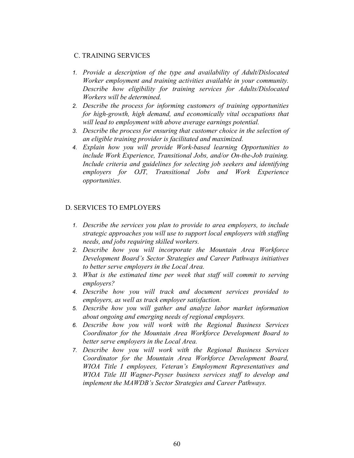#### C. TRAINING SERVICES

- *1. Provide a description of the type and availability of Adult/Dislocated Worker employment and training activities available in your community. Describe how eligibility for training services for Adults/Dislocated Workers will be determined.*
- *2. Describe the process for informing customers of training opportunities for high-growth, high demand, and economically vital occupations that will lead to employment with above average earnings potential.*
- *3. Describe the process for ensuring that customer choice in the selection of an eligible training provider is facilitated and maximized.*
- *4. Explain how you will provide Work-based learning Opportunities to include Work Experience, Transitional Jobs, and/or On-the-Job training. Include criteria and guidelines for selecting job seekers and identifying employers for OJT, Transitional Jobs and Work Experience opportunities.*

#### D. SERVICES TO EMPLOYERS

- *1. Describe the services you plan to provide to area employers, to include strategic approaches you will use to support local employers with staffing needs, and jobs requiring skilled workers.*
- *2. Describe how you will incorporate the Mountain Area Workforce Development Board's Sector Strategies and Career Pathways initiatives to better serve employers in the Local Area.*
- *3. What is the estimated time per week that staff will commit to serving employers?*
- *4. Describe how you will track and document services provided to employers, as well as track employer satisfaction.*
- *5. Describe how you will gather and analyze labor market information about ongoing and emerging needs of regional employers.*
- *6. Describe how you will work with the Regional Business Services Coordinator for the Mountain Area Workforce Development Board to better serve employers in the Local Area.*
- *7. Describe how you will work with the Regional Business Services Coordinator for the Mountain Area Workforce Development Board, WIOA Title I employees, Veteran's Employment Representatives and WIOA Title III Wagner-Peyser business services staff to develop and implement the MAWDB's Sector Strategies and Career Pathways.*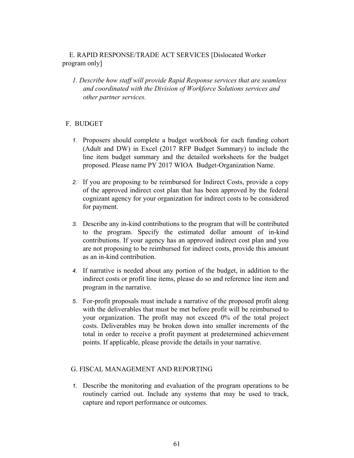# E. RAPID RESPONSE/TRADE ACT SERVICES [Dislocated Worker program only]

*1. Describe how staff will provide Rapid Response services that are seamless and coordinated with the Division of Workforce Solutions services and other partner services.* 

#### F. BUDGET

- *1.* Proposers should complete a budget workbook for each funding cohort (Adult and DW) in Excel (2017 RFP Budget Summary) to include the line item budget summary and the detailed worksheets for the budget proposed. Please name PY 2017 WIOA Budget-Organization Name.
- *2.* If you are proposing to be reimbursed for Indirect Costs, provide a copy of the approved indirect cost plan that has been approved by the federal cognizant agency for your organization for indirect costs to be considered for payment.
- *3.* Describe any in-kind contributions to the program that will be contributed to the program. Specify the estimated dollar amount of in-kind contributions. If your agency has an approved indirect cost plan and you are not proposing to be reimbursed for indirect costs, provide this amount as an in-kind contribution.
- *4.* If narrative is needed about any portion of the budget, in addition to the indirect costs or profit line items, please do so and reference line item and program in the narrative.
- *5.* For-profit proposals must include a narrative of the proposed profit along with the deliverables that must be met before profit will be reimbursed to your organization. The profit may not exceed 0% of the total project costs. Deliverables may be broken down into smaller increments of the total in order to receive a profit payment at predetermined achievement points. If applicable, please provide the details in your narrative.

#### G. FISCAL MANAGEMENT AND REPORTING

*1.* Describe the monitoring and evaluation of the program operations to be routinely carried out. Include any systems that may be used to track, capture and report performance or outcomes.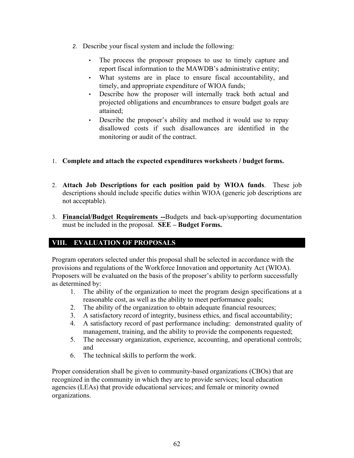- *2.* Describe your fiscal system and include the following:
	- The process the proposer proposes to use to timely capture and report fiscal information to the MAWDB's administrative entity;
	- What systems are in place to ensure fiscal accountability, and timely, and appropriate expenditure of WIOA funds;
	- Describe how the proposer will internally track both actual and projected obligations and encumbrances to ensure budget goals are attained;
	- Describe the proposer's ability and method it would use to repay disallowed costs if such disallowances are identified in the monitoring or audit of the contract.
- 1. **Complete and attach the expected expenditures worksheets / budget forms.**
- 2. **Attach Job Descriptions for each position paid by WIOA funds**. These job descriptions should include specific duties within WIOA (generic job descriptions are not acceptable).
- 3. **Financial/Budget Requirements --**Budgets and back-up/supporting documentation must be included in the proposal. **SEE – Budget Forms.**

# **VIII. EVALUATION OF PROPOSALS**

Program operators selected under this proposal shall be selected in accordance with the provisions and regulations of the Workforce Innovation and opportunity Act (WIOA). Proposers will be evaluated on the basis of the proposer's ability to perform successfully as determined by:

- 1. The ability of the organization to meet the program design specifications at a reasonable cost, as well as the ability to meet performance goals;
- 2. The ability of the organization to obtain adequate financial resources;
- 3. A satisfactory record of integrity, business ethics, and fiscal accountability;
- 4. A satisfactory record of past performance including: demonstrated quality of management, training, and the ability to provide the components requested;
- 5. The necessary organization, experience, accounting, and operational controls; and
- 6. The technical skills to perform the work.

Proper consideration shall be given to community-based organizations (CBOs) that are recognized in the community in which they are to provide services; local education agencies (LEAs) that provide educational services; and female or minority owned organizations.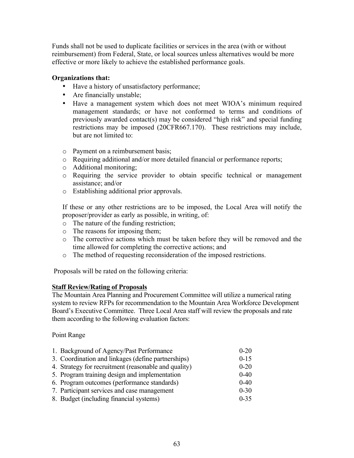Funds shall not be used to duplicate facilities or services in the area (with or without reimbursement) from Federal, State, or local sources unless alternatives would be more effective or more likely to achieve the established performance goals.

### **Organizations that:**

- Have a history of unsatisfactory performance;
- Are financially unstable;
- Have a management system which does not meet WIOA's minimum required management standards; or have not conformed to terms and conditions of previously awarded contact(s) may be considered "high risk" and special funding restrictions may be imposed (20CFR667.170). These restrictions may include, but are not limited to:
- o Payment on a reimbursement basis;
- o Requiring additional and/or more detailed financial or performance reports;
- o Additional monitoring;
- o Requiring the service provider to obtain specific technical or management assistance; and/or
- o Establishing additional prior approvals.

If these or any other restrictions are to be imposed, the Local Area will notify the proposer/provider as early as possible, in writing, of:

- o The nature of the funding restriction;
- o The reasons for imposing them;
- o The corrective actions which must be taken before they will be removed and the time allowed for completing the corrective actions; and
- o The method of requesting reconsideration of the imposed restrictions.

Proposals will be rated on the following criteria:

#### **Staff Review/Rating of Proposals**

The Mountain Area Planning and Procurement Committee will utilize a numerical rating system to review RFPs for recommendation to the Mountain Area Workforce Development Board's Executive Committee. Three Local Area staff will review the proposals and rate them according to the following evaluation factors:

#### Point Range

| 1. Background of Agency/Past Performance             | $0 - 20$ |
|------------------------------------------------------|----------|
| 3. Coordination and linkages (define partnerships)   | $0 - 15$ |
| 4. Strategy for recruitment (reasonable and quality) | $0 - 20$ |
| 5. Program training design and implementation        | $0 - 40$ |
| 6. Program outcomes (performance standards)          | $0 - 40$ |
| 7. Participant services and case management          | $0 - 30$ |
| 8. Budget (including financial systems)              | $0 - 35$ |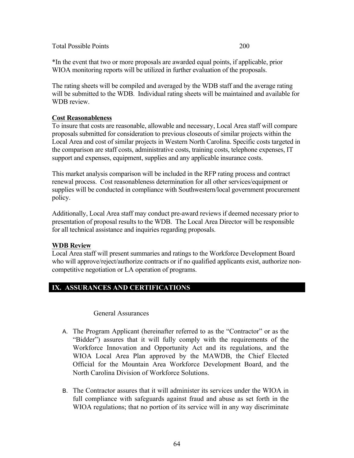Total Possible Points 200

\*In the event that two or more proposals are awarded equal points, if applicable, prior WIOA monitoring reports will be utilized in further evaluation of the proposals.

The rating sheets will be compiled and averaged by the WDB staff and the average rating will be submitted to the WDB. Individual rating sheets will be maintained and available for WDB review.

# **Cost Reasonableness**

To insure that costs are reasonable, allowable and necessary, Local Area staff will compare proposals submitted for consideration to previous closeouts of similar projects within the Local Area and cost of similar projects in Western North Carolina. Specific costs targeted in the comparison are staff costs, administrative costs, training costs, telephone expenses, IT support and expenses, equipment, supplies and any applicable insurance costs.

This market analysis comparison will be included in the RFP rating process and contract renewal process. Cost reasonableness determination for all other services/equipment or supplies will be conducted in compliance with Southwestern/local government procurement policy.

Additionally, Local Area staff may conduct pre-award reviews if deemed necessary prior to presentation of proposal results to the WDB. The Local Area Director will be responsible for all technical assistance and inquiries regarding proposals.

# **WDB Review**

Local Area staff will present summaries and ratings to the Workforce Development Board who will approve/reject/authorize contracts or if no qualified applicants exist, authorize noncompetitive negotiation or LA operation of programs.

# **IX. ASSURANCES AND CERTIFICATIONS**

#### General Assurances

- A. The Program Applicant (hereinafter referred to as the "Contractor" or as the "Bidder") assures that it will fully comply with the requirements of the Workforce Innovation and Opportunity Act and its regulations, and the WIOA Local Area Plan approved by the MAWDB, the Chief Elected Official for the Mountain Area Workforce Development Board, and the North Carolina Division of Workforce Solutions.
- B. The Contractor assures that it will administer its services under the WIOA in full compliance with safeguards against fraud and abuse as set forth in the WIOA regulations; that no portion of its service will in any way discriminate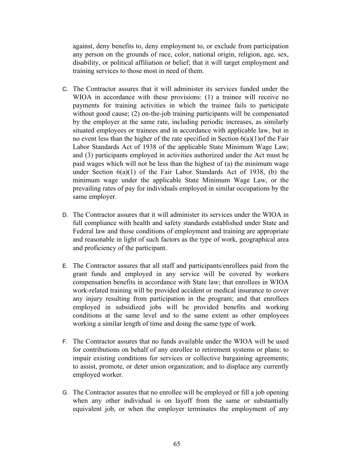against, deny benefits to, deny employment to, or exclude from participation any person on the grounds of race, color, national origin, religion, age, sex, disability, or political affiliation or belief; that it will target employment and training services to those most in need of them.

- C. The Contractor assures that it will administer its services funded under the WIOA in accordance with these provisions: (1) a trainee will receive no payments for training activities in which the trainee fails to participate without good cause; (2) on-the-job training participants will be compensated by the employer at the same rate, including periodic increases, as similarly situated employees or trainees and in accordance with applicable law, but in no event less than the higher of the rate specified in Section 6(a)(1)of the Fair Labor Standards Act of 1938 of the applicable State Minimum Wage Law; and (3) participants employed in activities authorized under the Act must be paid wages which will not be less than the highest of (a) the minimum wage under Section  $6(a)(1)$  of the Fair Labor Standards Act of 1938, (b) the minimum wage under the applicable State Minimum Wage Law, or the prevailing rates of pay for individuals employed in similar occupations by the same employer.
- D. The Contractor assures that it will administer its services under the WIOA in full compliance with health and safety standards established under State and Federal law and those conditions of employment and training are appropriate and reasonable in light of such factors as the type of work, geographical area and proficiency of the participant.
- E. The Contractor assures that all staff and participants/enrollees paid from the grant funds and employed in any service will be covered by workers compensation benefits in accordance with State law; that enrollees in WIOA work-related training will be provided accident or medical insurance to cover any injury resulting from participation in the program; and that enrollees employed in subsidized jobs will be provided benefits and working conditions at the same level and to the same extent as other employees working a similar length of time and doing the same type of work.
- F. The Contractor assures that no funds available under the WIOA will be used for contributions on behalf of any enrollee to retirement systems or plans; to impair existing conditions for services or collective bargaining agreements; to assist, promote, or deter union organization; and to displace any currently employed worker.
- G. The Contractor assures that no enrollee will be employed or fill a job opening when any other individual is on layoff from the same or substantially equivalent job, or when the employer terminates the employment of any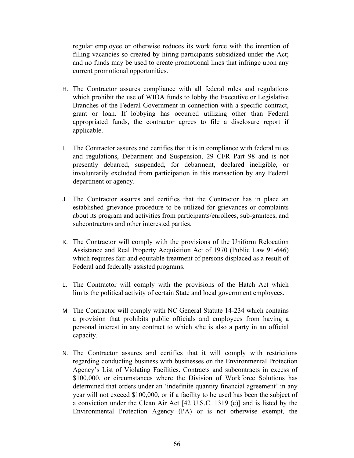regular employee or otherwise reduces its work force with the intention of filling vacancies so created by hiring participants subsidized under the Act; and no funds may be used to create promotional lines that infringe upon any current promotional opportunities.

- H. The Contractor assures compliance with all federal rules and regulations which prohibit the use of WIOA funds to lobby the Executive or Legislative Branches of the Federal Government in connection with a specific contract, grant or loan. If lobbying has occurred utilizing other than Federal appropriated funds, the contractor agrees to file a disclosure report if applicable.
- I. The Contractor assures and certifies that it is in compliance with federal rules and regulations, Debarment and Suspension, 29 CFR Part 98 and is not presently debarred, suspended, for debarment, declared ineligible, or involuntarily excluded from participation in this transaction by any Federal department or agency.
- J. The Contractor assures and certifies that the Contractor has in place an established grievance procedure to be utilized for grievances or complaints about its program and activities from participants/enrollees, sub-grantees, and subcontractors and other interested parties.
- K. The Contractor will comply with the provisions of the Uniform Relocation Assistance and Real Property Acquisition Act of 1970 (Public Law 91-646) which requires fair and equitable treatment of persons displaced as a result of Federal and federally assisted programs.
- L. The Contractor will comply with the provisions of the Hatch Act which limits the political activity of certain State and local government employees.
- M. The Contractor will comply with NC General Statute 14-234 which contains a provision that prohibits public officials and employees from having a personal interest in any contract to which s/he is also a party in an official capacity.
- N. The Contractor assures and certifies that it will comply with restrictions regarding conducting business with businesses on the Environmental Protection Agency's List of Violating Facilities. Contracts and subcontracts in excess of \$100,000, or circumstances where the Division of Workforce Solutions has determined that orders under an 'indefinite quantity financial agreement' in any year will not exceed \$100,000, or if a facility to be used has been the subject of a conviction under the Clean Air Act [42 U.S.C. 1319 (c)] and is listed by the Environmental Protection Agency (PA) or is not otherwise exempt, the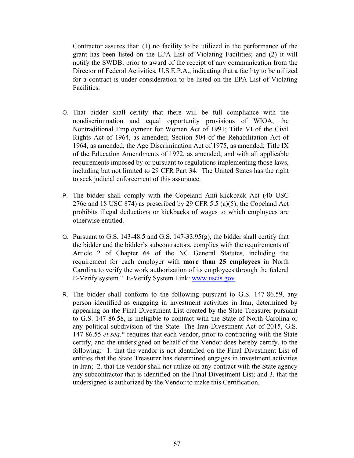Contractor assures that: (1) no facility to be utilized in the performance of the grant has been listed on the EPA List of Violating Facilities; and (2) it will notify the SWDB, prior to award of the receipt of any communication from the Director of Federal Activities, U.S.E.P.A., indicating that a facility to be utilized for a contract is under consideration to be listed on the EPA List of Violating Facilities.

- O. That bidder shall certify that there will be full compliance with the nondiscrimination and equal opportunity provisions of WIOA, the Nontraditional Employment for Women Act of 1991; Title VI of the Civil Rights Act of 1964, as amended; Section 504 of the Rehabilitation Act of 1964, as amended; the Age Discrimination Act of 1975, as amended; Title IX of the Education Amendments of 1972, as amended; and with all applicable requirements imposed by or pursuant to regulations implementing those laws, including but not limited to 29 CFR Part 34. The United States has the right to seek judicial enforcement of this assurance.
- P. The bidder shall comply with the Copeland Anti-Kickback Act (40 USC 276c and 18 USC 874) as prescribed by 29 CFR 5.5 (a)(5); the Copeland Act prohibits illegal deductions or kickbacks of wages to which employees are otherwise entitled.
- Q. Pursuant to G.S. 143-48.5 and G.S. 147-33.95(g), the bidder shall certify that the bidder and the bidder's subcontractors, complies with the requirements of Article 2 of Chapter 64 of the NC General Statutes, including the requirement for each employer with **more than 25 employees** in North Carolina to verify the work authorization of its employees through the federal E-Verify system." E-Verify System Link: www.uscis.gov
- R. The bidder shall conform to the following pursuant to G.S. 147-86.59, any person identified as engaging in investment activities in Iran, determined by appearing on the Final Divestment List created by the State Treasurer pursuant to G.S. 147-86.58, is ineligible to contract with the State of North Carolina or any political subdivision of the State. The Iran Divestment Act of 2015, G.S. 147-86.55 *et seq*.\* requires that each vendor, prior to contracting with the State certify, and the undersigned on behalf of the Vendor does hereby certify, to the following: 1. that the vendor is not identified on the Final Divestment List of entities that the State Treasurer has determined engages in investment activities in Iran; 2. that the vendor shall not utilize on any contract with the State agency any subcontractor that is identified on the Final Divestment List; and 3. that the undersigned is authorized by the Vendor to make this Certification.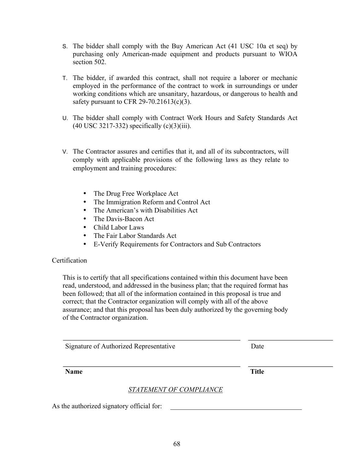- 
- 
- This is to certify that all specifications contained within this document have been read, understood, and addressed in the business plan; that the required format has been followed; that all of the information contained in this proposal is true and

V. The Contractor assures and certifies that it, and all of its subcontractors, will comply with applicable provisions of the following laws as they relate to employment and training procedures:

S. The bidder shall comply with the Buy American Act (41 USC 10a et seq) by purchasing only American-made equipment and products pursuant to WIOA

T. The bidder, if awarded this contract, shall not require a laborer or mechanic employed in the performance of the contract to work in surroundings or under working conditions which are unsanitary, hazardous, or dangerous to health and

U. The bidder shall comply with Contract Work Hours and Safety Standards Act

• The Drug Free Workplace Act

safety pursuant to CFR 29-70.21613(c)(3).

(40 USC 3217-332) specifically (c)(3)(iii).

- The Immigration Reform and Control Act
- The American's with Disabilities Act
- The Davis-Bacon Act
- Child Labor Laws

section 502.

- The Fair Labor Standards Act
- E-Verify Requirements for Contractors and Sub Contractors

#### **Certification**

correct; that the Contractor organization will comply with all of the above assurance; and that this proposal has been duly authorized by the governing body of the Contractor organization.

**Name** Title

# *STATEMENT OF COMPLIANCE*

As the authorized signatory official for:

Signature of Authorized Representative Date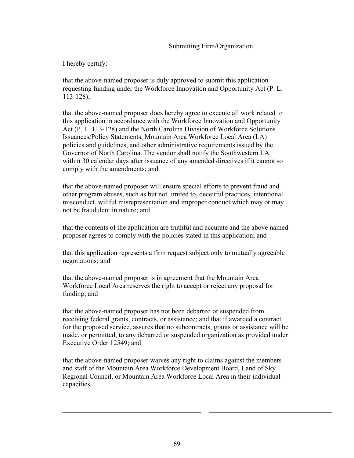#### Submitting Firm/Organization

I hereby certify:

that the above-named proposer is duly approved to submit this application requesting funding under the Workforce Innovation and Opportunity Act (P. L. 113-128);

that the above-named proposer does hereby agree to execute all work related to this application in accordance with the Workforce Innovation and Opportunity Act (P. L. 113-128) and the North Carolina Division of Workforce Solutions Issuances/Policy Statements, Mountain Area Workforce Local Area (LA) policies and guidelines, and other administrative requirements issued by the Governor of North Carolina. The vendor shall notify the Southwestern LA within 30 calendar days after issuance of any amended directives if it cannot so comply with the amendments; and

that the above-named proposer will ensure special efforts to prevent fraud and other program abuses, such as but not limited to, deceitful practices, intentional misconduct, willful misrepresentation and improper conduct which may or may not be fraudulent in nature; and

that the contents of the application are truthful and accurate and the above named proposer agrees to comply with the policies stated in this application; and

that this application represents a firm request subject only to mutually agreeable negotiations; and

that the above-named proposer is in agreement that the Mountain Area Workforce Local Area reserves the right to accept or reject any proposal for funding; and

that the above-named proposer has not been debarred or suspended from receiving federal grants, contracts, or assistance; and that if awarded a contract for the proposed service, assures that no subcontracts, grants or assistance will be made, or permitted, to any debarred or suspended organization as provided under Executive Order 12549; and

that the above-named proposer waives any right to claims against the members and staff of the Mountain Area Workforce Development Board, Land of Sky Regional Council, or Mountain Area Workforce Local Area in their individual capacities.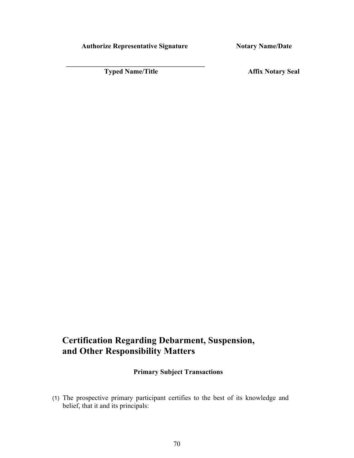Authorize Representative Signature **Notary Name/Date** 

**Typed Name/Title Affix Notary Seal Affix Notary Seal** 

# **Certification Regarding Debarment, Suspension, and Other Responsibility Matters**

# **Primary Subject Transactions**

(1) The prospective primary participant certifies to the best of its knowledge and belief, that it and its principals: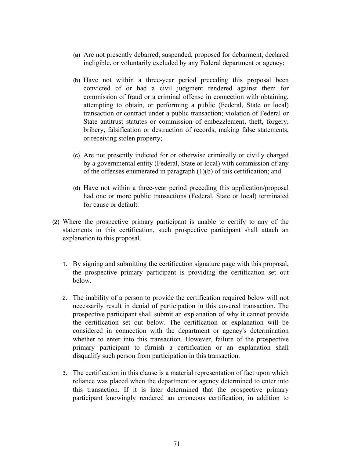- (a) Are not presently debarred, suspended, proposed for debarment, declared ineligible, or voluntarily excluded by any Federal department or agency;
- (b) Have not within a three-year period preceding this proposal been convicted of or had a civil judgment rendered against them for commission of fraud or a criminal offense in connection with obtaining, attempting to obtain, or performing a public (Federal, State or local) transaction or contract under a public transaction; violation of Federal or State antitrust statutes or commission of embezzlement, theft, forgery, bribery, falsification or destruction of records, making false statements, or receiving stolen property;
- (c) Are not presently indicted for or otherwise criminally or civilly charged by a governmental entity (Federal, State or local) with commission of any of the offenses enumerated in paragraph (1)(b) of this certification; and
- (d) Have not within a three-year period preceding this application/proposal had one or more public transactions (Federal, State or local) terminated for cause or default.
- (2) Where the prospective primary participant is unable to certify to any of the statements in this certification, such prospective participant shall attach an explanation to this proposal.
	- 1. By signing and submitting the certification signature page with this proposal, the prospective primary participant is providing the certification set out below.
	- 2. The inability of a person to provide the certification required below will not necessarily result in denial of participation in this covered transaction. The prospective participant shall submit an explanation of why it cannot provide the certification set out below. The certification or explanation will be considered in connection with the department or agency's determination whether to enter into this transaction. However, failure of the prospective primary participant to furnish a certification or an explanation shall disqualify such person from participation in this transaction.
	- 3. The certification in this clause is a material representation of fact upon which reliance was placed when the department or agency determined to enter into this transaction. If it is later determined that the prospective primary participant knowingly rendered an erroneous certification, in addition to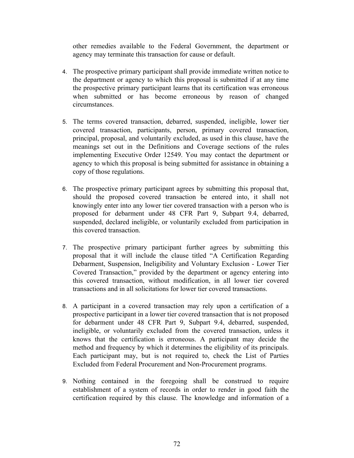other remedies available to the Federal Government, the department or agency may terminate this transaction for cause or default.

- 4. The prospective primary participant shall provide immediate written notice to the department or agency to which this proposal is submitted if at any time the prospective primary participant learns that its certification was erroneous when submitted or has become erroneous by reason of changed circumstances.
- 5. The terms covered transaction, debarred, suspended, ineligible, lower tier covered transaction, participants, person, primary covered transaction, principal, proposal, and voluntarily excluded, as used in this clause, have the meanings set out in the Definitions and Coverage sections of the rules implementing Executive Order 12549. You may contact the department or agency to which this proposal is being submitted for assistance in obtaining a copy of those regulations.
- 6. The prospective primary participant agrees by submitting this proposal that, should the proposed covered transaction be entered into, it shall not knowingly enter into any lower tier covered transaction with a person who is proposed for debarment under 48 CFR Part 9, Subpart 9.4, debarred, suspended, declared ineligible, or voluntarily excluded from participation in this covered transaction.
- 7. The prospective primary participant further agrees by submitting this proposal that it will include the clause titled "A Certification Regarding Debarment, Suspension, Ineligibility and Voluntary Exclusion - Lower Tier Covered Transaction," provided by the department or agency entering into this covered transaction, without modification, in all lower tier covered transactions and in all solicitations for lower tier covered transactions.
- 8. A participant in a covered transaction may rely upon a certification of a prospective participant in a lower tier covered transaction that is not proposed for debarment under 48 CFR Part 9, Subpart 9.4, debarred, suspended, ineligible, or voluntarily excluded from the covered transaction, unless it knows that the certification is erroneous. A participant may decide the method and frequency by which it determines the eligibility of its principals. Each participant may, but is not required to, check the List of Parties Excluded from Federal Procurement and Non-Procurement programs.
- 9. Nothing contained in the foregoing shall be construed to require establishment of a system of records in order to render in good faith the certification required by this clause. The knowledge and information of a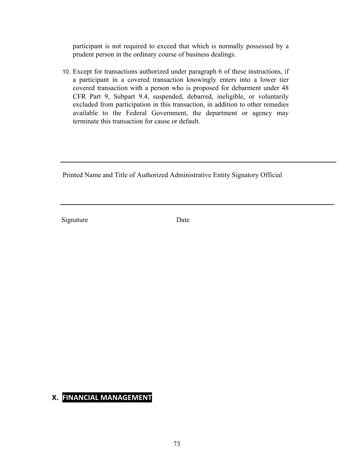participant is not required to exceed that which is normally possessed by a prudent person in the ordinary course of business dealings.

10. Except for transactions authorized under paragraph 6 of these instructions, if a participant in a covered transaction knowingly enters into a lower tier covered transaction with a person who is proposed for debarment under 48 CFR Part 9, Subpart 9.4, suspended, debarred, ineligible, or voluntarily excluded from participation in this transaction, in addition to other remedies available to the Federal Government, the department or agency may terminate this transaction for cause or default.

Printed Name and Title of Authorized Administrative Entity Signatory Official

Signature Date

## **X. FINANCIAL MANAGEMENT**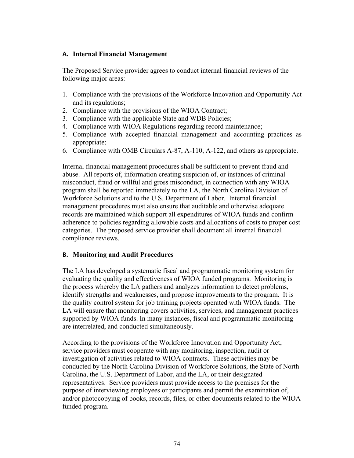### **A. Internal Financial Management**

The Proposed Service provider agrees to conduct internal financial reviews of the following major areas:

- 1. Compliance with the provisions of the Workforce Innovation and Opportunity Act and its regulations;
- 2. Compliance with the provisions of the WIOA Contract;
- 3. Compliance with the applicable State and WDB Policies;
- 4. Compliance with WIOA Regulations regarding record maintenance;
- 5. Compliance with accepted financial management and accounting practices as appropriate;
- 6. Compliance with OMB Circulars A-87, A-110, A-122, and others as appropriate.

Internal financial management procedures shall be sufficient to prevent fraud and abuse. All reports of, information creating suspicion of, or instances of criminal misconduct, fraud or willful and gross misconduct, in connection with any WIOA program shall be reported immediately to the LA, the North Carolina Division of Workforce Solutions and to the U.S. Department of Labor. Internal financial management procedures must also ensure that auditable and otherwise adequate records are maintained which support all expenditures of WIOA funds and confirm adherence to policies regarding allowable costs and allocations of costs to proper cost categories. The proposed service provider shall document all internal financial compliance reviews.

### **B. Monitoring and Audit Procedures**

The LA has developed a systematic fiscal and programmatic monitoring system for evaluating the quality and effectiveness of WIOA funded programs. Monitoring is the process whereby the LA gathers and analyzes information to detect problems, identify strengths and weaknesses, and propose improvements to the program. It is the quality control system for job training projects operated with WIOA funds. The LA will ensure that monitoring covers activities, services, and management practices supported by WIOA funds. In many instances, fiscal and programmatic monitoring are interrelated, and conducted simultaneously.

According to the provisions of the Workforce Innovation and Opportunity Act, service providers must cooperate with any monitoring, inspection, audit or investigation of activities related to WIOA contracts. These activities may be conducted by the North Carolina Division of Workforce Solutions, the State of North Carolina, the U.S. Department of Labor, and the LA, or their designated representatives. Service providers must provide access to the premises for the purpose of interviewing employees or participants and permit the examination of, and/or photocopying of books, records, files, or other documents related to the WIOA funded program.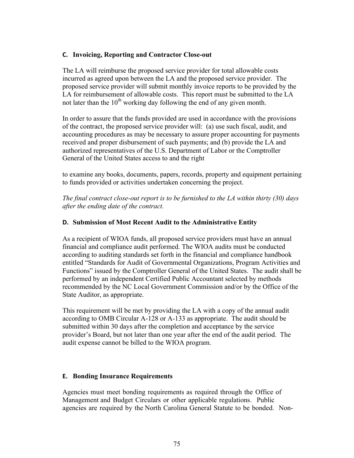### **C. Invoicing, Reporting and Contractor Close-out**

The LA will reimburse the proposed service provider for total allowable costs incurred as agreed upon between the LA and the proposed service provider. The proposed service provider will submit monthly invoice reports to be provided by the LA for reimbursement of allowable costs. This report must be submitted to the LA not later than the  $10^{th}$  working day following the end of any given month.

In order to assure that the funds provided are used in accordance with the provisions of the contract, the proposed service provider will: (a) use such fiscal, audit, and accounting procedures as may be necessary to assure proper accounting for payments received and proper disbursement of such payments; and (b) provide the LA and authorized representatives of the U.S. Department of Labor or the Comptroller General of the United States access to and the right

to examine any books, documents, papers, records, property and equipment pertaining to funds provided or activities undertaken concerning the project.

*The final contract close-out report is to be furnished to the LA within thirty (30) days after the ending date of the contract.*

### **D. Submission of Most Recent Audit to the Administrative Entity**

As a recipient of WIOA funds, all proposed service providers must have an annual financial and compliance audit performed. The WIOA audits must be conducted according to auditing standards set forth in the financial and compliance handbook entitled "Standards for Audit of Governmental Organizations, Program Activities and Functions" issued by the Comptroller General of the United States. The audit shall be performed by an independent Certified Public Accountant selected by methods recommended by the NC Local Government Commission and/or by the Office of the State Auditor, as appropriate.

This requirement will be met by providing the LA with a copy of the annual audit according to OMB Circular A-128 or A-133 as appropriate. The audit should be submitted within 30 days after the completion and acceptance by the service provider's Board, but not later than one year after the end of the audit period. The audit expense cannot be billed to the WIOA program.

### **E. Bonding Insurance Requirements**

Agencies must meet bonding requirements as required through the Office of Management and Budget Circulars or other applicable regulations. Public agencies are required by the North Carolina General Statute to be bonded. Non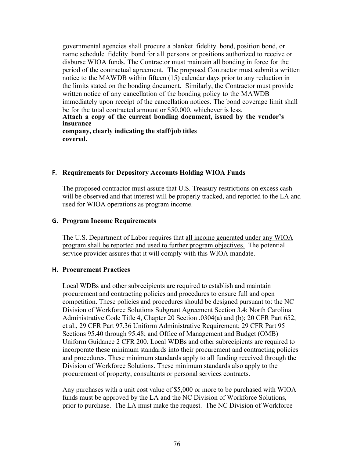governmental agencies shall procure a blanket fidelity bond, position bond, or name schedule fidelity bond for all persons or positions authorized to receive or disburse WIOA funds. The Contractor must maintain all bonding in force for the period of the contractual agreement. The proposed Contractor must submit a written notice to the MAWDB within fifteen (15) calendar days prior to any reduction in the limits stated on the bonding document. Similarly, the Contractor must provide written notice of any cancellation of the bonding policy to the MAWDB immediately upon receipt of the cancellation notices. The bond coverage limit shall be for the total contracted amount or \$50,000, whichever is less. **Attach a copy of the current bonding document, issued by the vendor's insurance company, clearly indicating the staff/job titles covered.**

#### **F. Requirements for Depository Accounts Holding WIOA Funds**

The proposed contractor must assure that U.S. Treasury restrictions on excess cash will be observed and that interest will be properly tracked, and reported to the LA and used for WIOA operations as program income.

### **G. Program Income Requirements**

The U.S. Department of Labor requires that all income generated under any WIOA program shall be reported and used to further program objectives. The potential service provider assures that it will comply with this WIOA mandate.

### **H. Procurement Practices**

Local WDBs and other subrecipients are required to establish and maintain procurement and contracting policies and procedures to ensure full and open competition. These policies and procedures should be designed pursuant to: the NC Division of Workforce Solutions Subgrant Agreement Section 3.4; North Carolina Administrative Code Title 4, Chapter 20 Section .0304(a) and (b); 20 CFR Part 652, et al., 29 CFR Part 97.36 Uniform Administrative Requirement; 29 CFR Part 95 Sections 95.40 through 95.48; and Office of Management and Budget (OMB) Uniform Guidance 2 CFR 200. Local WDBs and other subrecipients are required to incorporate these minimum standards into their procurement and contracting policies and procedures. These minimum standards apply to all funding received through the Division of Workforce Solutions. These minimum standards also apply to the procurement of property, consultants or personal services contracts.

Any purchases with a unit cost value of \$5,000 or more to be purchased with WIOA funds must be approved by the LA and the NC Division of Workforce Solutions, prior to purchase. The LA must make the request. The NC Division of Workforce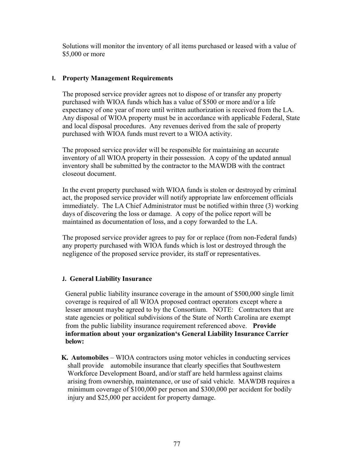Solutions will monitor the inventory of all items purchased or leased with a value of \$5,000 or more

### **I. Property Management Requirements**

The proposed service provider agrees not to dispose of or transfer any property purchased with WIOA funds which has a value of \$500 or more and/or a life expectancy of one year of more until written authorization is received from the LA. Any disposal of WIOA property must be in accordance with applicable Federal, State and local disposal procedures. Any revenues derived from the sale of property purchased with WIOA funds must revert to a WIOA activity.

The proposed service provider will be responsible for maintaining an accurate inventory of all WIOA property in their possession. A copy of the updated annual inventory shall be submitted by the contractor to the MAWDB with the contract closeout document.

In the event property purchased with WIOA funds is stolen or destroyed by criminal act, the proposed service provider will notify appropriate law enforcement officials immediately. The LA Chief Administrator must be notified within three (3) working days of discovering the loss or damage. A copy of the police report will be maintained as documentation of loss, and a copy forwarded to the LA.

The proposed service provider agrees to pay for or replace (from non-Federal funds) any property purchased with WIOA funds which is lost or destroyed through the negligence of the proposed service provider, its staff or representatives.

### **J. General Liability Insurance**

General public liability insurance coverage in the amount of \$500,000 single limit coverage is required of all WIOA proposed contract operators except where a lesser amount maybe agreed to by the Consortium. NOTE: Contractors that are state agencies or political subdivisions of the State of North Carolina are exempt from the public liability insurance requirement referenced above. **Provide information about your organization's General Liability Insurance Carrier below:**

 **K. Automobiles** – WIOA contractors using motor vehicles in conducting services shall provide automobile insurance that clearly specifies that Southwestern Workforce Development Board, and/or staff are held harmless against claims arising from ownership, maintenance, or use of said vehicle. MAWDB requires a minimum coverage of \$100,000 per person and \$300,000 per accident for bodily injury and \$25,000 per accident for property damage.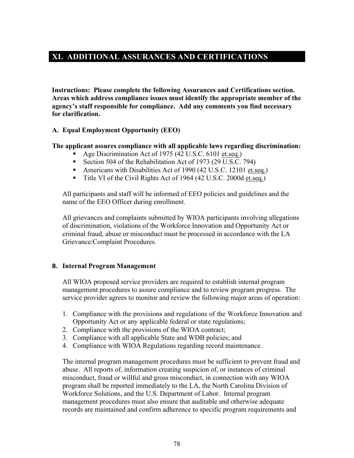# **XI. ADDITIONAL ASSURANCES AND CERTIFICATIONS**

**Instructions: Please complete the following Assurances and Certifications section. Areas which address compliance issues must identify the appropriate member of the agency's staff responsible for compliance. Add any comments you find necessary for clarification.**

### **A. Equal Employment Opportunity (EEO)**

### **The applicant assures compliance with all applicable laws regarding discrimination:**

- § Age Discrimination Act of 1975 (42 U.S.C. 6101 et.seq.)
- Section 504 of the Rehabilitation Act of 1973 (29 U.S.C. 794)
- Americans with Disabilities Act of 1990 (42 U.S.C. 12101 et.seq.)
- Title VI of the Civil Rights Act of 1964 (42 U.S.C. 2000d et.seq.)

All participants and staff will be informed of EEO policies and guidelines and the name of the EEO Officer during enrollment.

All grievances and complaints submitted by WIOA participants involving allegations of discrimination, violations of the Workforce Innovation and Opportunity Act or criminal fraud, abuse or misconduct must be processed in accordance with the LA Grievance/Complaint Procedures.

### **B. Internal Program Management**

All WIOA proposed service providers are required to establish internal program management procedures to assure compliance and to review program progress. The service provider agrees to monitor and review the following major areas of operation:

- 1. Compliance with the provisions and regulations of the Workforce Innovation and Opportunity Act or any applicable federal or state regulations;
- 2. Compliance with the provisions of the WIOA contract;
- 3. Compliance with all applicable State and WDB policies; and
- 4. Compliance with WIOA Regulations regarding record maintenance.

The internal program management procedures must be sufficient to prevent fraud and abuse. All reports of, information creating suspicion of, or instances of criminal misconduct, fraud or willful and gross misconduct, in connection with any WIOA program shall be reported immediately to the LA, the North Carolina Division of Workforce Solutions, and the U.S. Department of Labor. Internal program management procedures must also ensure that auditable and otherwise adequate records are maintained and confirm adherence to specific program requirements and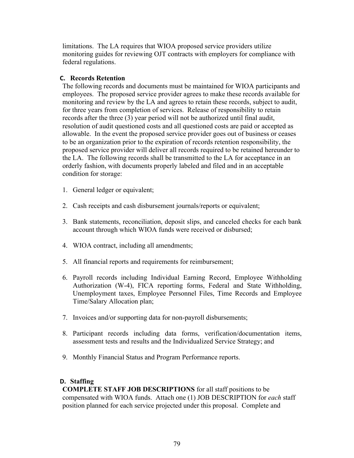limitations. The LA requires that WIOA proposed service providers utilize monitoring guides for reviewing OJT contracts with employers for compliance with federal regulations.

### **C. Records Retention**

The following records and documents must be maintained for WIOA participants and employees. The proposed service provider agrees to make these records available for monitoring and review by the LA and agrees to retain these records, subject to audit, for three years from completion of services. Release of responsibility to retain records after the three (3) year period will not be authorized until final audit, resolution of audit questioned costs and all questioned costs are paid or accepted as allowable. In the event the proposed service provider goes out of business or ceases to be an organization prior to the expiration of records retention responsibility, the proposed service provider will deliver all records required to be retained hereunder to the LA. The following records shall be transmitted to the LA for acceptance in an orderly fashion, with documents properly labeled and filed and in an acceptable condition for storage:

- 1. General ledger or equivalent;
- 2. Cash receipts and cash disbursement journals/reports or equivalent;
- 3. Bank statements, reconciliation, deposit slips, and canceled checks for each bank account through which WIOA funds were received or disbursed;
- 4. WIOA contract, including all amendments;
- 5. All financial reports and requirements for reimbursement;
- 6. Payroll records including Individual Earning Record, Employee Withholding Authorization (W-4), FICA reporting forms, Federal and State Withholding, Unemployment taxes, Employee Personnel Files, Time Records and Employee Time/Salary Allocation plan;
- 7. Invoices and/or supporting data for non-payroll disbursements;
- 8. Participant records including data forms, verification/documentation items, assessment tests and results and the Individualized Service Strategy; and
- 9. Monthly Financial Status and Program Performance reports.

### **D. Staffing**

**COMPLETE STAFF JOB DESCRIPTIONS** for all staff positions to be compensated with WIOA funds. Attach one (1) JOB DESCRIPTION for *each* staff position planned for each service projected under this proposal. Complete and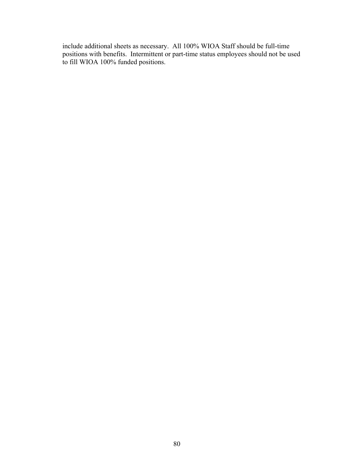include additional sheets as necessary. All 100% WIOA Staff should be full-time positions with benefits. Intermittent or part-time status employees should not be used to fill WIOA 100% funded positions.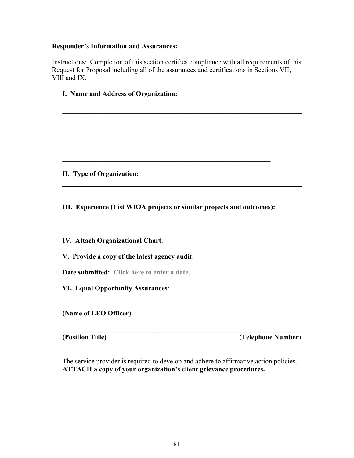### **Responder's Information and Assurances:**

Instructions: Completion of this section certifies compliance with all requirements of this Request for Proposal including all of the assurances and certifications in Sections VII, VIII and IX.

 $\mathcal{L}_\mathcal{L} = \mathcal{L}_\mathcal{L} = \mathcal{L}_\mathcal{L} = \mathcal{L}_\mathcal{L} = \mathcal{L}_\mathcal{L} = \mathcal{L}_\mathcal{L} = \mathcal{L}_\mathcal{L} = \mathcal{L}_\mathcal{L} = \mathcal{L}_\mathcal{L} = \mathcal{L}_\mathcal{L} = \mathcal{L}_\mathcal{L} = \mathcal{L}_\mathcal{L} = \mathcal{L}_\mathcal{L} = \mathcal{L}_\mathcal{L} = \mathcal{L}_\mathcal{L} = \mathcal{L}_\mathcal{L} = \mathcal{L}_\mathcal{L}$ 

 $\mathcal{L}_\text{max} = \frac{1}{2} \sum_{i=1}^n \mathcal{L}_\text{max}(\mathbf{z}_i - \mathbf{z}_i)$ 

 $\mathcal{L}_\mathcal{L} = \mathcal{L}_\mathcal{L} = \mathcal{L}_\mathcal{L} = \mathcal{L}_\mathcal{L} = \mathcal{L}_\mathcal{L} = \mathcal{L}_\mathcal{L} = \mathcal{L}_\mathcal{L} = \mathcal{L}_\mathcal{L} = \mathcal{L}_\mathcal{L} = \mathcal{L}_\mathcal{L} = \mathcal{L}_\mathcal{L} = \mathcal{L}_\mathcal{L} = \mathcal{L}_\mathcal{L} = \mathcal{L}_\mathcal{L} = \mathcal{L}_\mathcal{L} = \mathcal{L}_\mathcal{L} = \mathcal{L}_\mathcal{L}$ 

### **I. Name and Address of Organization:**

**II. Type of Organization:**

**III. Experience (List WIOA projects or similar projects and outcomes):**

 $\mathcal{L}_\text{max}$  , and the contribution of the contribution of the contribution of the contribution of the contribution of the contribution of the contribution of the contribution of the contribution of the contribution of t

**IV. Attach Organizational Chart**:

**V. Provide a copy of the latest agency audit:**

**Date submitted: Click here to enter a date.**

**VI. Equal Opportunity Assurances**:

**(Name of EEO Officer)**

**(Position Title) (Telephone Number**)

The service provider is required to develop and adhere to affirmative action policies. **ATTACH a copy of your organization's client grievance procedures.**

 $\mathcal{L}_\mathcal{L} = \mathcal{L}_\mathcal{L} = \mathcal{L}_\mathcal{L} = \mathcal{L}_\mathcal{L} = \mathcal{L}_\mathcal{L} = \mathcal{L}_\mathcal{L} = \mathcal{L}_\mathcal{L} = \mathcal{L}_\mathcal{L} = \mathcal{L}_\mathcal{L} = \mathcal{L}_\mathcal{L} = \mathcal{L}_\mathcal{L} = \mathcal{L}_\mathcal{L} = \mathcal{L}_\mathcal{L} = \mathcal{L}_\mathcal{L} = \mathcal{L}_\mathcal{L} = \mathcal{L}_\mathcal{L} = \mathcal{L}_\mathcal{L}$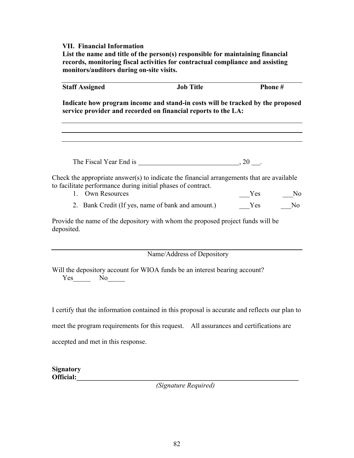### **VII. Financial Information**

**List the name and title of the person(s) responsible for maintaining financial records, monitoring fiscal activities for contractual compliance and assisting monitors/auditors during on-site visits.**

| <b>Staff Assigned</b>                                                                                                                           | <b>Job Title</b>                                        | Phone# |                |  |  |  |
|-------------------------------------------------------------------------------------------------------------------------------------------------|---------------------------------------------------------|--------|----------------|--|--|--|
| Indicate how program income and stand-in costs will be tracked by the proposed<br>service provider and recorded on financial reports to the LA: |                                                         |        |                |  |  |  |
|                                                                                                                                                 |                                                         |        |                |  |  |  |
|                                                                                                                                                 | The Fiscal Year End is $\frac{1}{2}$ , 20 $\frac{1}{2}$ |        |                |  |  |  |
| Check the appropriate answer(s) to indicate the financial arrangements that are available                                                       |                                                         |        |                |  |  |  |
| to facilitate performance during initial phases of contract.<br>1. Own Resources                                                                |                                                         | Yes    | N <sub>0</sub> |  |  |  |
|                                                                                                                                                 | 2. Bank Credit (If yes, name of bank and amount.)       | Yes    | N <sub>0</sub> |  |  |  |
| Provide the name of the depository with whom the proposed project funds will be<br>deposited.                                                   |                                                         |        |                |  |  |  |
|                                                                                                                                                 | Name/Address of Depository                              |        |                |  |  |  |
| Will the depository account for WIOA funds be an interest bearing account?<br>$Yes$ No $No$                                                     |                                                         |        |                |  |  |  |
| I certify that the information contained in this proposal is accurate and reflects our plan to                                                  |                                                         |        |                |  |  |  |

meet the program requirements for this request. All assurances and certifications are

accepted and met in this response.

| <b>Signatory</b><br>Official: |                                     |  |  |
|-------------------------------|-------------------------------------|--|--|
|                               | the contract of the contract of the |  |  |

*(Signature Required)*